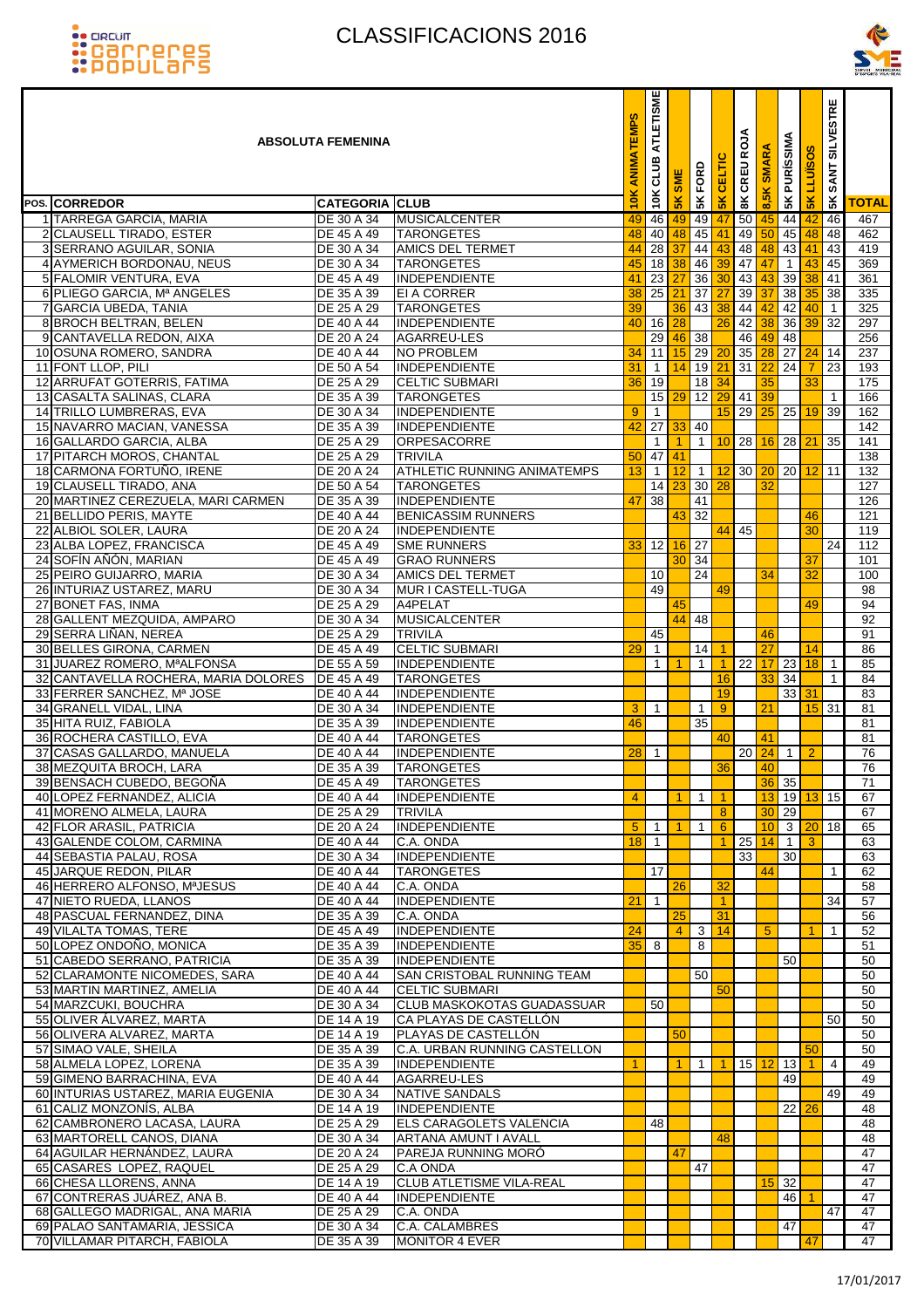



| <b>ABSOLUTA FEMENINA</b><br><b>CATEGORIA CLUB</b>              |                          |                                                      |                       |                       | 5K SME               | <b>5K FORD</b>          | CELTIC               | <b>CREU ROJA</b>      | $\overline{\mathbf{s}}$ | <b>PURISSIMA</b>      | <b>TTAISO</b>  | <b>SILVESTRE</b><br>SANT: |            |
|----------------------------------------------------------------|--------------------------|------------------------------------------------------|-----------------------|-----------------------|----------------------|-------------------------|----------------------|-----------------------|-------------------------|-----------------------|----------------|---------------------------|------------|
| <b>POS. CORREDOR</b>                                           |                          |                                                      | <b>10K ANIMATEMPS</b> | 10K CLUB              |                      |                         | $\frac{1}{2}$        | $\frac{8}{3}$         | 8,5K                    | $\frac{1}{2}$         | $\frac{1}{5}$  | 5 <sup>K</sup>            | TOTAL      |
| 1 TARREGA GARCIA, MARIA                                        | DE 30 A 34               | <b>MUSICALCENTER</b>                                 | 49                    | 46                    | 49                   | 49                      | 47                   | 50                    | 45                      | 44                    | 42             | 46                        | 467        |
| 2 CLAUSELL TIRADO, ESTER                                       | DE 45 A 49               | <b>TARONGETES</b>                                    | 48                    | 40                    | 48                   | $45 \, 41$              |                      | 49                    | 50                      | 45                    | 48             | 48                        | 462        |
| 3 SERRANO AGUILAR, SONIA                                       | DE 30 A 34               | <b>AMICS DEL TERMET</b>                              | 44                    | 28                    | 37                   | $44 \overline{43}$      |                      | 48                    | 48                      | $43 \vert 41$         |                | 43                        | 419        |
| 4 AYMERICH BORDONAU, NEUS                                      | DE 30 A 34               | <b>TARONGETES</b>                                    | 45                    | $\frac{1}{8}$         | 38                   | 46                      | 39                   | 47                    | 47                      | $\mathbf{1}$          | 43             | 45                        | 369        |
| 5 FALOMIR VENTURA, EVA                                         | DE 45 A 49<br>DE 35 A 39 | INDEPENDIENTE<br><b>EI A CORRER</b>                  | 41<br>38              | 23<br>$\overline{25}$ | 27<br>21             | $36\overline{30}$<br>37 |                      | 43<br>$\overline{39}$ | 43<br>37                | 39<br>38              | 38             | 41                        | 361<br>335 |
| 6 PLIEGO GARCIA, Mª ANGELES<br>7 GARCIA UBEDA, TANIA           | DE 25 A 29               | <b>TARONGETES</b>                                    | 39                    |                       | 36                   | 43 38                   | 27                   | 44                    | 42                      | 42                    | 35<br>40       | 38<br>$\overline{1}$      | 325        |
| 8 BROCH BELTRAN, BELEN                                         | DE 40 A 44               | <b>INDEPENDIENTE</b>                                 | 40                    | 16                    | 28                   |                         | 26                   | 42                    | 38                      | 36                    | 39             | 32                        | 297        |
| 9 CANTAVELLA REDON, AIXA                                       | DE 20 A 24               | AGARREU-LES                                          |                       | 29                    | 46                   | 38                      |                      | 46                    | 49                      | 48                    |                |                           | 256        |
| 10 OSUNA ROMERO, SANDRA                                        | DE 40 A 44               | <b>NO PROBLEM</b>                                    | 34                    | 11                    | 15                   | 29 20                   |                      | 35                    | 28                      | 27                    | 24             | 14                        | 237        |
| 11 FONT LLOP, PILI                                             | DE 50 A 54               | INDEPENDIENTE                                        | 31                    | $\overline{1}$        | 14                   | $19$ 21                 |                      | $\overline{31}$       | 22                      | 24                    | 7              | $\overline{23}$           | 193        |
| 12 ARRUFAT GOTERRIS, FATIMA                                    | DE 25 A 29               | <b>CELTIC SUBMARI</b>                                | 36                    | $\overline{19}$       |                      | $18$ 34                 |                      |                       | 35                      |                       | 33             |                           | 175        |
| 13 CASALTA SALINAS, CLARA                                      | DE 35 A 39               | <b>TARONGETES</b>                                    |                       | 15                    | 29                   | $\overline{12}$         | 29                   | 41                    | 39                      |                       |                | $\mathbf{1}$              | 166        |
| 14 TRILLO LUMBRERAS, EVA                                       | DE 30 A 34               | INDEPENDIENTE                                        | 9                     | $\overline{1}$        |                      |                         | 15                   | 29                    | 25                      | 25                    | 19             | 39                        | 162        |
| 15 NAVARRO MACIAN, VANESSA                                     | DE 35 A 39               | <b>INDEPENDIENTE</b>                                 | 42                    | 27                    | 33                   | 40                      |                      |                       |                         |                       |                |                           | 142        |
| 16 GALLARDO GARCIA, ALBA                                       | DE 25 A 29               | ORPESACORRE                                          |                       | $\mathbf{1}$          | $\overline{1}$       | $\overline{1}$          | 10                   | 28                    | 16                      | $28 \, 21$            |                | 35                        | 141        |
| 17 PITARCH MOROS, CHANTAL<br>18 CARMONA FORTUÑO, IRENE         | DE 25 A 29<br>DE 20 A 24 | <b>TRIVILA</b><br><b>ATHLETIC RUNNING ANIMATEMPS</b> | 50<br>13              | 47<br>$\overline{1}$  | 41<br>12             | $\mathbf{1}$            | 12                   | 30                    | 20 <sup>°</sup>         | $20$ 12               |                | 11                        | 138<br>132 |
| 19 CLAUSELL TIRADO, ANA                                        | DE 50 A 54               | <b>TARONGETES</b>                                    |                       | 14                    | 23                   | $30\overline{28}$       |                      |                       | 32                      |                       |                |                           | 127        |
| 20 MARTINEZ CEREZUELA, MARI CARMEN                             | DE 35 A 39               | INDEPENDIENTE                                        | 47                    | 38                    |                      | 41                      |                      |                       |                         |                       |                |                           | 126        |
| 21 BELLIDO PERIS, MAYTE                                        | DE 40 A 44               | <b>BENICASSIM RUNNERS</b>                            |                       |                       | 43                   | 32                      |                      |                       |                         |                       | 46             |                           | 121        |
| 22 ALBIOL SOLER, LAURA                                         | DE 20 A 24               | <b>INDEPENDIENTE</b>                                 |                       |                       |                      |                         | 44                   | 45                    |                         |                       | 30             |                           | 119        |
| 23 ALBA LOPEZ, FRANCISCA                                       | DE 45 A 49               | <b>SME RUNNERS</b>                                   | 33                    | 12                    | 16                   | 27                      |                      |                       |                         |                       |                | 24                        | 112        |
| 24 SOFIN ANON, MARIAN                                          | DE 45 A 49               | <b>GRAO RUNNERS</b>                                  |                       |                       | 30                   | 34                      |                      |                       |                         |                       | 37             |                           | 101        |
| 25 PEIRO GUIJARRO, MARIA                                       | DE 30 A 34               | <b>AMICS DEL TERMET</b>                              |                       | 10                    |                      | 24                      |                      |                       | 34                      |                       | 32             |                           | 100        |
| 26 INTURIAZ USTAREZ, MARU                                      | DE 30 A 34               | MUR I CASTELL-TUGA                                   |                       | 49                    |                      |                         | 49                   |                       |                         |                       |                |                           | 98         |
| 27 BONET FAS, INMA                                             | DE 25 A 29               | A4PELAT                                              |                       |                       | 45                   |                         |                      |                       |                         |                       | 49             |                           | 94         |
| 28 GALLENT MEZQUIDA, AMPARO<br>29 SERRA LIÑAN, NEREA           | DE 30 A 34<br>DE 25 A 29 | <b>MUSICALCENTER</b><br><b>TRIVILA</b>               |                       | 45                    |                      | $44$ 48                 |                      |                       | 46                      |                       |                |                           | 92<br>91   |
| 30 BELLES GIRONA, CARMEN                                       | DE 45 A 49               | <b>CELTIC SUBMARI</b>                                | 29                    | $\overline{1}$        |                      | 14                      | $\blacktriangleleft$ |                       | 27                      |                       | 14             |                           | 86         |
| 31 JUAREZ ROMERO, MªALFONSA                                    | DE 55 A 59               | INDEPENDIENTE                                        |                       | $\mathbf{1}$          |                      | $\mathbf{1}$            | $\mathbf{1}$         | 22                    |                         | $17$ 23 $18$          |                | $\mathbf{1}$              | 85         |
| 32 CANTAVELLA ROCHERA, MARIA DOLORES                           | DE 45 A 49               | <b>TARONGETES</b>                                    |                       |                       |                      |                         | 16                   |                       | 33                      | $\overline{34}$       |                | -1                        | 84         |
| 33 FERRER SANCHEZ, Mª JOSE                                     | DE 40 A 44               | INDEPENDIENTE                                        |                       |                       |                      |                         | 19                   |                       |                         | $33\overline{31}$     |                |                           | 83         |
| 34 GRANELL VIDAL, LINA                                         | DE 30 A 34               | INDEPENDIENTE                                        | 3                     | 1                     |                      | $\mathbf{1}$            | 9                    |                       | 21                      |                       | 15             | 31                        | 81         |
| 35 HITA RUIZ, FABIOLA                                          | DE 35 A 39               | INDEPENDIENTE                                        | 46                    |                       |                      | 35                      |                      |                       |                         |                       |                |                           | 81         |
| 36 ROCHERA CASTILLO, EVA                                       | <b>DE 40 A 44</b>        | <b>TARONGETES</b>                                    |                       |                       |                      |                         | 40                   |                       | 41                      |                       |                |                           | 81         |
| 37 CASAS GALLARDO, MANUELA                                     | <b>DE 40 A 44</b>        | INDEPENDIENTE                                        | 28                    | $\mathbf{1}$          |                      |                         |                      |                       | 20 24                   | 1 <sup>1</sup>        | $\overline{2}$ |                           | 76         |
| 38 MEZQUITA BROCH, LARA<br>39 BENSACH CUBEDO, BEGOÑA           | DE 35 A 39<br>DE 45 A 49 | <b>TARONGETES</b><br><b>TARONGETES</b>               |                       |                       |                      |                         | 36                   |                       | 40                      | $36$ 35               |                |                           | 76<br>71   |
| 40 LOPEZ FERNANDEZ, ALICIA                                     | DE 40 A 44               | <b>INDEPENDIENTE</b>                                 | $\overline{4}$        |                       | $\mathbf{1}$         | $1$   1                 |                      |                       |                         | 13 19 13 15           |                |                           | 67         |
| 41 MORENO ALMELA, LAURA                                        | DE 25 A 29               | <b>TRIVILA</b>                                       |                       |                       |                      |                         | 8                    |                       |                         | $30$ 29               |                |                           | 67         |
| 42 FLOR ARASIL, PATRICIA                                       | DE 20 A 24               | <b>INDEPENDIENTE</b>                                 | 5 <sup>5</sup>        | $\overline{1}$        |                      | $\mathbf{1}$            | $6\phantom{1}6$      |                       | 10 <sup>1</sup>         | 3 20                  |                | 18                        | 65         |
| 43 GALENDE COLOM, CARMINA                                      | DE 40 A 44               | C.A. ONDA                                            | 18                    | $\overline{1}$        |                      |                         | $\blacktriangleleft$ | 25                    | 14                      | $\mathbf{1}$          | $\overline{3}$ |                           | 63         |
| 44 SEBASTIA PALAU, ROSA                                        | DE 30 A 34               | <b>INDEPENDIENTE</b>                                 |                       |                       |                      |                         |                      | 33                    |                         | 30                    |                |                           | 63         |
| 45 JARQUE REDON, PILAR                                         | DE 40 A 44               | <b>TARONGETES</b>                                    |                       | 17                    |                      |                         |                      |                       | 44                      |                       |                | $\mathbf{1}$              | 62         |
| 46 HERRERO ALFONSO, MªJESUS                                    | DE 40 A 44               | C.A. ONDA                                            |                       |                       | 26                   |                         | 32                   |                       |                         |                       |                |                           | 58         |
| 47 NIETO RUEDA, LLANOS                                         | DE 40 A 44               | INDEPENDIENTE                                        | 21                    | $\overline{1}$        |                      |                         | $\blacktriangleleft$ |                       |                         |                       |                | 34                        | 57         |
| 48 PASCUAL FERNANDEZ, DINA<br>49 VILALTA TOMAS, TERE           | DE 35 A 39<br>DE 45 A 49 | C.A. ONDA<br><b>INDEPENDIENTE</b>                    | 24                    |                       | 25<br>$\overline{4}$ | $\mathbf{3}$            | 31<br>14             |                       | 5                       |                       | 1              | $\overline{1}$            | 56<br>52   |
| 50 LOPEZ ONDOÑO, MONICA                                        | DE 35 A 39               | <b>INDEPENDIENTE</b>                                 | 35                    | 8                     |                      | 8                       |                      |                       |                         |                       |                |                           | 51         |
| 51 CABEDO SERRANO, PATRICIA                                    | DE 35 A 39               | <b>INDEPENDIENTE</b>                                 |                       |                       |                      |                         |                      |                       |                         | 50 <sub>1</sub>       |                |                           | 50         |
| 52 CLARAMONTE NICOMEDES, SARA                                  | DE 40 A 44               | <b>SAN CRISTOBAL RUNNING TEAM</b>                    |                       |                       |                      | 50                      |                      |                       |                         |                       |                |                           | 50         |
| 53 MARTIN MARTINEZ, AMELIA                                     | DE 40 A 44               | <b>CELTIC SUBMARI</b>                                |                       |                       |                      |                         | 50                   |                       |                         |                       |                |                           | 50         |
| 54 MARZCUKI, BOUCHRA                                           | DE 30 A 34               | <b>CLUB MASKOKOTAS GUADASSUAR</b>                    |                       | 50                    |                      |                         |                      |                       |                         |                       |                |                           | 50         |
| 55 OLIVER ÁLVAREZ, MARTA                                       | DE 14 A 19               | CA PLAYAS DE CASTELLÓN                               |                       |                       |                      |                         |                      |                       |                         |                       |                | 50                        | 50         |
| 56 OLIVERA ALVAREZ, MARTA                                      | DE 14 A 19               | PLAYAS DE CASTELLÓN                                  |                       |                       | 50                   |                         |                      |                       |                         |                       |                |                           | 50         |
| 57 SIMAO VALE, SHEILA                                          | DE 35 A 39               | C.A. URBAN RUNNING CASTELLON                         |                       |                       |                      |                         |                      |                       |                         |                       | 50             |                           | 50         |
| 58 ALMELA LOPEZ, LORENA<br>59 GIMENO BARRACHINA, EVA           | DE 35 A 39<br>DE 40 A 44 | INDEPENDIENTE<br>AGARREU-LES                         | 1                     |                       | 1                    | $\mathbf{1}$            | $\mathbf{1}$         |                       |                         | 15 <b>12</b> 13<br>49 | $\mathbf{1}$   | 4                         | 49<br>49   |
| 60 INTURIAS USTAREZ, MARIA EUGENIA                             | DE 30 A 34               | NATIVE SANDALS                                       |                       |                       |                      |                         |                      |                       |                         |                       |                | 49                        | 49         |
| 61 CALIZ MONZONÍS, ALBA                                        | DE 14 A 19               | <b>INDEPENDIENTE</b>                                 |                       |                       |                      |                         |                      |                       |                         | $22$ 26               |                |                           | 48         |
| 62 CAMBRONERO LACASA, LAURA                                    | DE 25 A 29               | <b>ELS CARAGOLETS VALENCIA</b>                       |                       | 48                    |                      |                         |                      |                       |                         |                       |                |                           | 48         |
| 63 MARTORELL CANOS, DIANA                                      | DE 30 A 34               | ARTANA AMUNT I AVALL                                 |                       |                       |                      |                         | 48                   |                       |                         |                       |                |                           | 48         |
| 64 AGUILAR HERNÁNDEZ, LAURA                                    | DE 20 A 24               | <b>PAREJA RUNNING MORO</b>                           |                       |                       | 47                   |                         |                      |                       |                         |                       |                |                           | 47         |
| 65 CASARES LOPEZ, RAQUEL                                       | DE 25 A 29               | <b>C.A ONDA</b>                                      |                       |                       |                      | 47                      |                      |                       |                         |                       |                |                           | 47         |
| 66 CHESA LLORENS, ANNA                                         | DE 14 A 19               | <b>CLUB ATLETISME VILA-REAL</b>                      |                       |                       |                      |                         |                      |                       |                         | $15$ 32               |                |                           | 47         |
| 67 CONTRERAS JUAREZ, ANA B.                                    | DE 40 A 44               | INDEPENDIENTE                                        |                       |                       |                      |                         |                      |                       |                         | 46                    | 1              |                           | 47         |
| 68 GALLEGO MADRIGAL, ANA MARIA<br>69 PALAO SANTAMARIA, JESSICA | DE 25 A 29<br>DE 30 A 34 | C.A. ONDA<br><b>C.A. CALAMBRES</b>                   |                       |                       |                      |                         |                      |                       |                         | 47                    |                | 47                        | 47<br>47   |
| 70 VILLAMAR PITARCH, FABIOLA                                   | DE 35 A 39               | <b>MONITOR 4 EVER</b>                                |                       |                       |                      |                         |                      |                       |                         |                       | 47             |                           | 47         |
|                                                                |                          |                                                      |                       |                       |                      |                         |                      |                       |                         |                       |                |                           |            |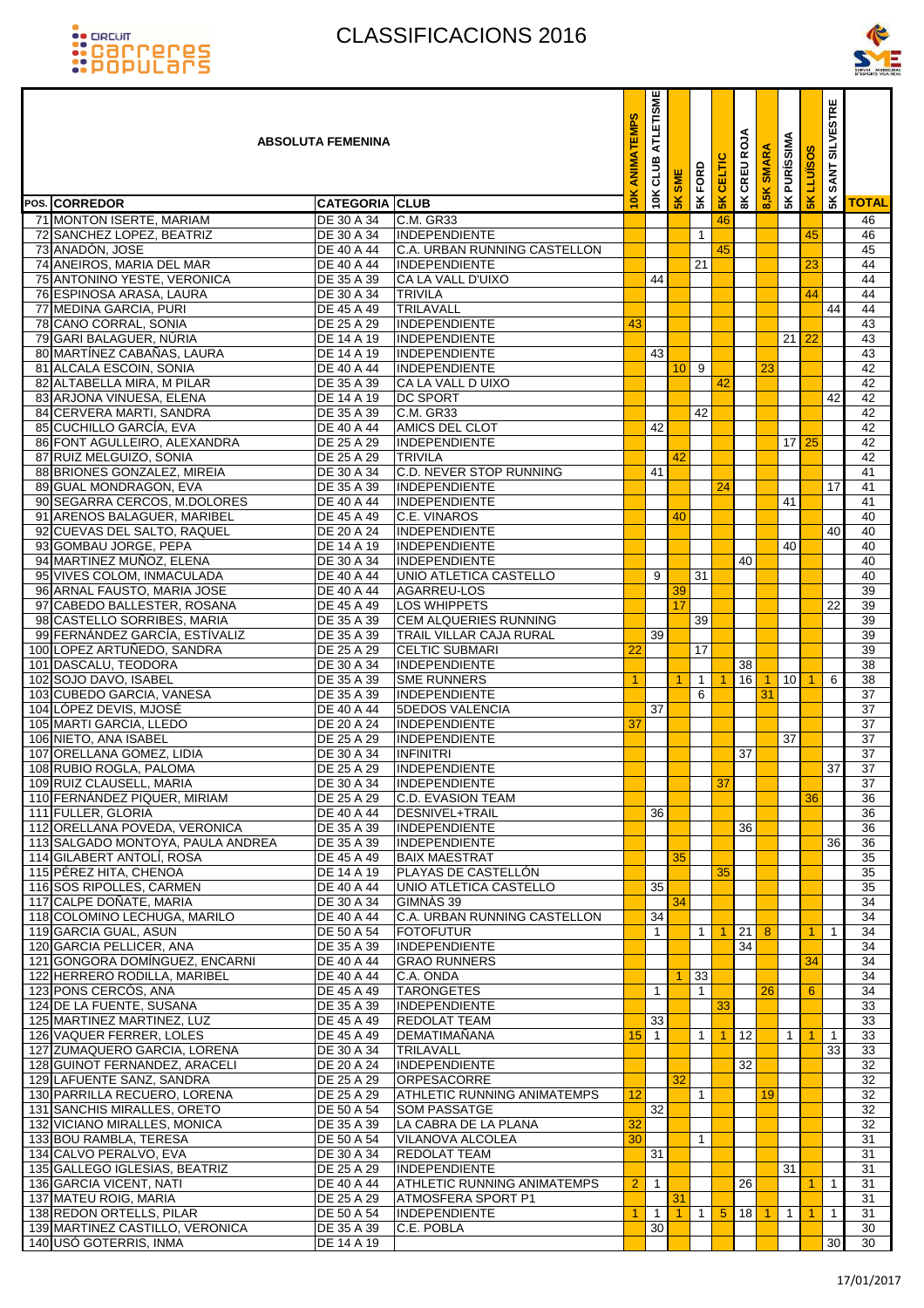



| <b>ABSOLUTA FEMENINA</b><br><b>CATEGORIA CLUB</b><br>DE 30 A 34<br><b>C.M. GR33</b> |                          |                                                     |                      | <b>ATLETISME</b><br>cLUB | <b>SK SME</b>        | <b>SK FORD</b>     | <b>SK CELTIC</b>     | <b>ROJA</b><br><b>BK CREU H</b> | <b>SMARA</b> | <b>5K PURÍSSIMA</b> | <b>LLUISO</b> | <b>SILVESTRE</b><br><b>SANT</b> |                                    |
|-------------------------------------------------------------------------------------|--------------------------|-----------------------------------------------------|----------------------|--------------------------|----------------------|--------------------|----------------------|---------------------------------|--------------|---------------------|---------------|---------------------------------|------------------------------------|
| <b>POS. CORREDOR</b>                                                                |                          |                                                     | $\frac{1}{2}$        | 10K                      |                      |                    |                      |                                 | 8,5K         |                     | $\frac{8}{5}$ | $\frac{1}{2}$                   | <b>TOTAL</b>                       |
| 71 MONTON ISERTE, MARIAM                                                            |                          |                                                     |                      |                          |                      |                    | 46                   |                                 |              |                     |               |                                 | 46                                 |
| 72 SANCHEZ LOPEZ, BEATRIZ                                                           | DE 30 A 34               | <b>INDEPENDIENTE</b>                                |                      |                          |                      | $\mathbf{1}$       |                      |                                 |              |                     | 45            |                                 | 46                                 |
| 73 ANADÓN, JOSE                                                                     | DE 40 A 44               | C.A. URBAN RUNNING CASTELLON                        |                      |                          |                      |                    | 45                   |                                 |              |                     |               |                                 | 45                                 |
| 74 ANEIROS, MARIA DEL MAR<br>75 ANTONINO YESTE, VERONICA                            | DE 40 A 44<br>DE 35 A 39 | <b>INDEPENDIENTE</b><br><b>CA LA VALL D'UIXO</b>    |                      | 44                       |                      | 21                 |                      |                                 |              |                     | 23            |                                 | 44<br>44                           |
| 76 ESPINOSA ARASA, LAURA                                                            | DE 30 A 34               | <b>TRIVILA</b>                                      |                      |                          |                      |                    |                      |                                 |              |                     | 44            |                                 | 44                                 |
| 77 MEDINA GARCIA, PURI                                                              | DE 45 A 49               | <b>TRILAVALL</b>                                    |                      |                          |                      |                    |                      |                                 |              |                     |               | 44                              | 44                                 |
| 78 CANO CORRAL, SONIA                                                               | DE 25 A 29               | <b>INDEPENDIENTE</b>                                | 43                   |                          |                      |                    |                      |                                 |              |                     |               |                                 | 43                                 |
| 79 GARI BALAGUER, NÜRIA                                                             | DE 14 A 19               | <b>INDEPENDIENTE</b>                                |                      |                          |                      |                    |                      |                                 |              | 21 22               |               |                                 | 43                                 |
| 80 MARTÍNEZ CABAÑAS, LAURA                                                          | <b>DE 14 A 19</b>        | INDEPENDIENTE                                       |                      | 43                       |                      |                    |                      |                                 |              |                     |               |                                 | 43                                 |
| 81 ALCALA ESCOIN, SONIA<br>82 ALTABELLA MIRA, M PILAR                               | DE 40 A 44<br>DE 35 A 39 | INDEPENDIENTE<br>CA LA VALL D UIXO                  |                      |                          | 10                   | 9                  | 42                   |                                 | 23           |                     |               |                                 | 42<br>42                           |
| 83 ARJONA VINUESA, ELENA                                                            | DE 14 A 19               | <b>DC SPORT</b>                                     |                      |                          |                      |                    |                      |                                 |              |                     |               | 42                              | 42                                 |
| 84 CERVERA MARTI, SANDRA                                                            | DE 35 A 39               | <b>C.M. GR33</b>                                    |                      |                          |                      | 42                 |                      |                                 |              |                     |               |                                 | 42                                 |
| 85 CUCHILLO GARCÍA, EVA                                                             | DE 40 A 44               | <b>AMICS DEL CLOT</b>                               |                      | 42                       |                      |                    |                      |                                 |              |                     |               |                                 | 42                                 |
| 86 FONT AGULLEIRO, ALEXANDRA                                                        | DE 25 A 29               | INDEPENDIENTE                                       |                      |                          |                      |                    |                      |                                 |              | 17 <sup>1</sup>     | 25            |                                 | 42                                 |
| 87 RUIZ MELGUIZO, SONIA                                                             | DE 25 A 29               | <b>TRIVILA</b>                                      |                      |                          | 42                   |                    |                      |                                 |              |                     |               |                                 | 42                                 |
| 88 BRIONES GONZALEZ, MIREIA                                                         | DE 30 A 34               | <b>C.D. NEVER STOP RUNNING</b>                      |                      | 41                       |                      |                    |                      |                                 |              |                     |               |                                 | 41                                 |
| 89 GUAL MONDRAGON, EVA<br>90 SEGARRA CERCOS, M.DOLORES                              | DE 35 A 39<br>DE 40 A 44 | <b>INDEPENDIENTE</b><br><b>INDEPENDIENTE</b>        |                      |                          |                      |                    | 24                   |                                 |              | 41                  |               | 17                              | 41<br>41                           |
| 91 ARENOS BALAGUER, MARIBEL                                                         | DE 45 A 49               | C.E. VINAROS                                        |                      |                          | 40                   |                    |                      |                                 |              |                     |               |                                 | 40                                 |
| 92 CUEVAS DEL SALTO, RAQUEL                                                         | DE 20 A 24               | INDEPENDIENTE                                       |                      |                          |                      |                    |                      |                                 |              |                     |               | 40                              | 40                                 |
| 93 GOMBAU JORGE, PEPA                                                               | DE 14 A 19               | <b>INDEPENDIENTE</b>                                |                      |                          |                      |                    |                      |                                 |              | 40                  |               |                                 | 40                                 |
| 94 MARTINEZ MUÑOZ, ELENA                                                            | DE 30 A 34               | <b>INDEPENDIENTE</b>                                |                      |                          |                      |                    |                      | 40                              |              |                     |               |                                 | 40                                 |
| 95 VIVES COLOM, INMACULADA                                                          | DE 40 A 44               | UNIO ATLETICA CASTELLO                              |                      | 9                        |                      | 31                 |                      |                                 |              |                     |               |                                 | 40                                 |
| 96 ARNAL FAUSTO, MARIA JOSE                                                         | DE 40 A 44               | AGARREU-LOS                                         |                      |                          | 39                   |                    |                      |                                 |              |                     |               |                                 | 39                                 |
| 97 CABEDO BALLESTER, ROSANA<br>98 CASTELLO SORRIBES, MARIA                          | DE 45 A 49<br>DE 35 A 39 | <b>LOS WHIPPETS</b><br><b>CEM ALQUERIES RUNNING</b> |                      |                          | 17                   | 39                 |                      |                                 |              |                     |               | 22                              | $\overline{39}$<br>$\overline{39}$ |
| 99 FERNANDEZ GARCÍA, ESTÍVALIZ                                                      | DE 35 A 39               | <b>TRAIL VILLAR CAJA RURAL</b>                      |                      | 39                       |                      |                    |                      |                                 |              |                     |               |                                 | 39                                 |
| 100 LOPEZ ARTUÑEDO, SANDRA                                                          | DE 25 A 29               | <b>CELTIC SUBMARI</b>                               | 22                   |                          |                      | 17                 |                      |                                 |              |                     |               |                                 | $\overline{39}$                    |
| 101 DASCALU, TEODORA                                                                | DE 30 A 34               | <b>INDEPENDIENTE</b>                                |                      |                          |                      |                    |                      | 38                              |              |                     |               |                                 | $\overline{38}$                    |
| 102 SOJO DAVO, ISABEL                                                               | DE 35 A 39               | <b>SME RUNNERS</b>                                  | $\blacktriangleleft$ |                          | $\blacktriangleleft$ | $\mathbf{1}$       | $\blacktriangleleft$ | 16                              | 1            | 10 <sup>1</sup>     |               | 6                               | $\overline{38}$                    |
| 103 CUBEDO GARCIA, VANESA                                                           | DE 35 A 39               | INDEPENDIENTE                                       |                      |                          |                      | 6                  |                      |                                 | 31           |                     |               |                                 | 37                                 |
| 104 LÓPEZ DEVIS, MJOSÉ                                                              | DE 40 A 44               | <b>5DEDOS VALENCIA</b>                              |                      | 37                       |                      |                    |                      |                                 |              |                     |               |                                 | $\overline{37}$                    |
| 105 MARTI GARCIA, LLEDO                                                             | DE 20 A 24               | INDEPENDIENTE                                       | 37                   |                          |                      |                    |                      |                                 |              |                     |               |                                 | $\overline{37}$                    |
| 106 NIETO, ANA ISABEL<br>107 ORELLANA GOMEZ, LIDIA                                  | DE 25 A 29<br>DE 30 A 34 | <b>INDEPENDIENTE</b><br><b>INFINITRI</b>            |                      |                          |                      |                    |                      | 37                              |              | 37                  |               |                                 | $\overline{37}$<br>37              |
| 108 RUBIO ROGLA, PALOMA                                                             | DE 25 A 29               | INDEPENDIENTE                                       |                      |                          |                      |                    |                      |                                 |              |                     |               | 37                              | 37                                 |
| 109 RUIZ CLAUSELL, MARIA                                                            |                          | DE 30 A 34 INDEPENDIENTE                            |                      |                          |                      |                    | $\overline{37}$      |                                 |              |                     |               |                                 | 37                                 |
| 110 FERNANDEZ PIQUER, MIRIAM                                                        | <b>DE 25 A 29</b>        | C.D. EVASION TEAM                                   |                      |                          |                      |                    |                      |                                 |              |                     | 36            |                                 | 36                                 |
| 111 FULLER, GLORIA                                                                  | <b>DE 40 A 44</b>        | DESNIVEL+TRAIL                                      |                      | 36                       |                      |                    |                      |                                 |              |                     |               |                                 | 36                                 |
| 112 ORELLANA POVEDA, VERONICA                                                       | DE 35 A 39               | INDEPENDIENTE                                       |                      |                          |                      |                    |                      | 36                              |              |                     |               |                                 | 36                                 |
| 113 SALGADO MONTOYA, PAULA ANDREA                                                   | DE 35 A 39<br>DE 45 A 49 | INDEPENDIENTE                                       |                      |                          | 35                   |                    |                      |                                 |              |                     |               | 36                              | 36                                 |
| 114 GILABERT ANTOLÍ, ROSA<br>115 PÉREZ HITA, CHENOA                                 | DE 14 A 19               | <b>BAIX MAESTRAT</b><br>PLAYAS DE CASTELLÓN         |                      |                          |                      |                    | 35                   |                                 |              |                     |               |                                 | 35<br>35                           |
| 116 SOS RIPOLLES, CARMEN                                                            | DE 40 A 44               | UNIO ATLETICA CASTELLO                              |                      | $\overline{35}$          |                      |                    |                      |                                 |              |                     |               |                                 | $\overline{35}$                    |
| 117 CALPE DONATE, MARIA                                                             | DE 30 A 34               | GIMNAS 39                                           |                      |                          | 34                   |                    |                      |                                 |              |                     |               |                                 | 34                                 |
| 118 COLOMINO LECHUGA, MARILO                                                        | DE 40 A 44               | C.A. URBAN RUNNING CASTELLON                        |                      | 34                       |                      |                    |                      |                                 |              |                     |               |                                 | 34                                 |
| 119 GARCIA GUAL, ASUN                                                               | DE 50 A 54               | <b>FOTOFUTUR</b>                                    |                      | $\mathbf{1}$             |                      | $\mathbf{1}$       | $\blacktriangleleft$ | 21                              | 8            |                     |               | $\mathbf{1}$                    | 34                                 |
| 120 GARCIA PELLICER, ANA                                                            | DE 35 A 39               | <b>INDEPENDIENTE</b>                                |                      |                          |                      |                    |                      | 34                              |              |                     |               |                                 | 34                                 |
| 121 GONGORA DOMÍNGUEZ, ENCARNI                                                      | DE 40 A 44               | <b>GRAO RUNNERS</b>                                 |                      |                          |                      |                    |                      |                                 |              |                     | 34            |                                 | 34                                 |
| 122 HERRERO RODILLA, MARIBEL<br>123 PONS CERCÓS, ANA                                | DE 40 A 44<br>DE 45 A 49 | C.A. ONDA<br><b>TARONGETES</b>                      |                      | 1                        | -1                   | 33<br>$\mathbf{1}$ |                      |                                 | 26           |                     | 6             |                                 | 34<br>$\overline{34}$              |
| 124 DE LA FUENTE, SUSANA                                                            | DE 35 A 39               | <b>INDEPENDIENTE</b>                                |                      |                          |                      |                    | 33                   |                                 |              |                     |               |                                 | $\overline{33}$                    |
| 125 MARTINEZ MARTINEZ, LUZ                                                          | DE 45 A 49               | <b>REDOLAT TEAM</b>                                 |                      | 33                       |                      |                    |                      |                                 |              |                     |               |                                 | 33                                 |
| 126 VAQUER FERRER, LOLES                                                            | DE 45 A 49               | <b>DEMATIMANANA</b>                                 | 15                   | $\overline{1}$           |                      | $\mathbf{1}$       | $\mathbf{1}$         | 12                              |              | $\mathbf{1}$        |               | $\mathbf{1}$                    | 33                                 |
| 127 ZUMAQUERO GARCIA, LORENA                                                        | DE 30 A 34               | <b>TRILAVALL</b>                                    |                      |                          |                      |                    |                      |                                 |              |                     |               | $33\overline{)}$                | 33                                 |
| 128 GUINOT FERNANDEZ, ARACELI                                                       | DE 20 A 24               | INDEPENDIENTE                                       |                      |                          |                      |                    |                      | 32                              |              |                     |               |                                 | 32                                 |
| 129 LAFUENTE SANZ, SANDRA                                                           | DE 25 A 29               | ORPESACORRE                                         |                      |                          | 32                   |                    |                      |                                 |              |                     |               |                                 | 32                                 |
| 130 PARRILLA RECUERO, LORENA<br>131 SANCHIS MIRALLES, ORETO                         | DE 25 A 29<br>DE 50 A 54 | ATHLETIC RUNNING ANIMATEMPS<br><b>SOM PASSATGE</b>  | 12                   | 32                       |                      | $\mathbf{1}$       |                      |                                 | 19           |                     |               |                                 | 32<br>$\overline{32}$              |
| 132 VICIANO MIRALLES, MONICA                                                        | DE 35 A 39               | LA CABRA DE LA PLANA                                | 32                   |                          |                      |                    |                      |                                 |              |                     |               |                                 | 32                                 |
| 133 BOU RAMBLA, TERESA                                                              | DE 50 A 54               | VILANOVA ALCOLEA                                    | 30                   |                          |                      | $\mathbf{1}$       |                      |                                 |              |                     |               |                                 | 31                                 |
| 134 CALVO PERALVO, EVA                                                              | DE 30 A 34               | <b>REDOLAT TEAM</b>                                 |                      | 31                       |                      |                    |                      |                                 |              |                     |               |                                 | $\overline{31}$                    |
| 135 GALLEGO IGLESIAS, BEATRIZ                                                       | DE 25 A 29               | <b>INDEPENDIENTE</b>                                |                      |                          |                      |                    |                      |                                 |              | 31                  |               |                                 | 31                                 |
| 136 GARCIA VICENT, NATI                                                             | DE 40 A 44               | ATHLETIC RUNNING ANIMATEMPS                         | 2 <sup>1</sup>       | $\overline{1}$           |                      |                    |                      | 26                              |              |                     |               | $\mathbf{1}$                    | 31                                 |
| 137 MATEU ROIG, MARIA                                                               | DE 25 A 29               | <b>ATMOSFERA SPORT P1</b>                           | $\blacktriangleleft$ |                          | 31                   |                    |                      |                                 |              |                     |               |                                 | 31                                 |
| 138 REDON ORTELLS, PILAR<br>139 MARTINEZ CASTILLO, VERONICA                         | DE 50 A 54<br>DE 35 A 39 | <b>INDEPENDIENTE</b><br>C.E. POBLA                  |                      | $\overline{1}$<br>30     | $\overline{1}$       |                    | $1\vert 5$           | 18                              | $\mathbf{1}$ | $\overline{1}$      |               | 1                               | 31<br>30                           |
| 140 USÓ GOTERRIS, INMA                                                              | DE 14 A 19               |                                                     |                      |                          |                      |                    |                      |                                 |              |                     |               | 30                              | 30                                 |
|                                                                                     |                          |                                                     |                      |                          |                      |                    |                      |                                 |              |                     |               |                                 |                                    |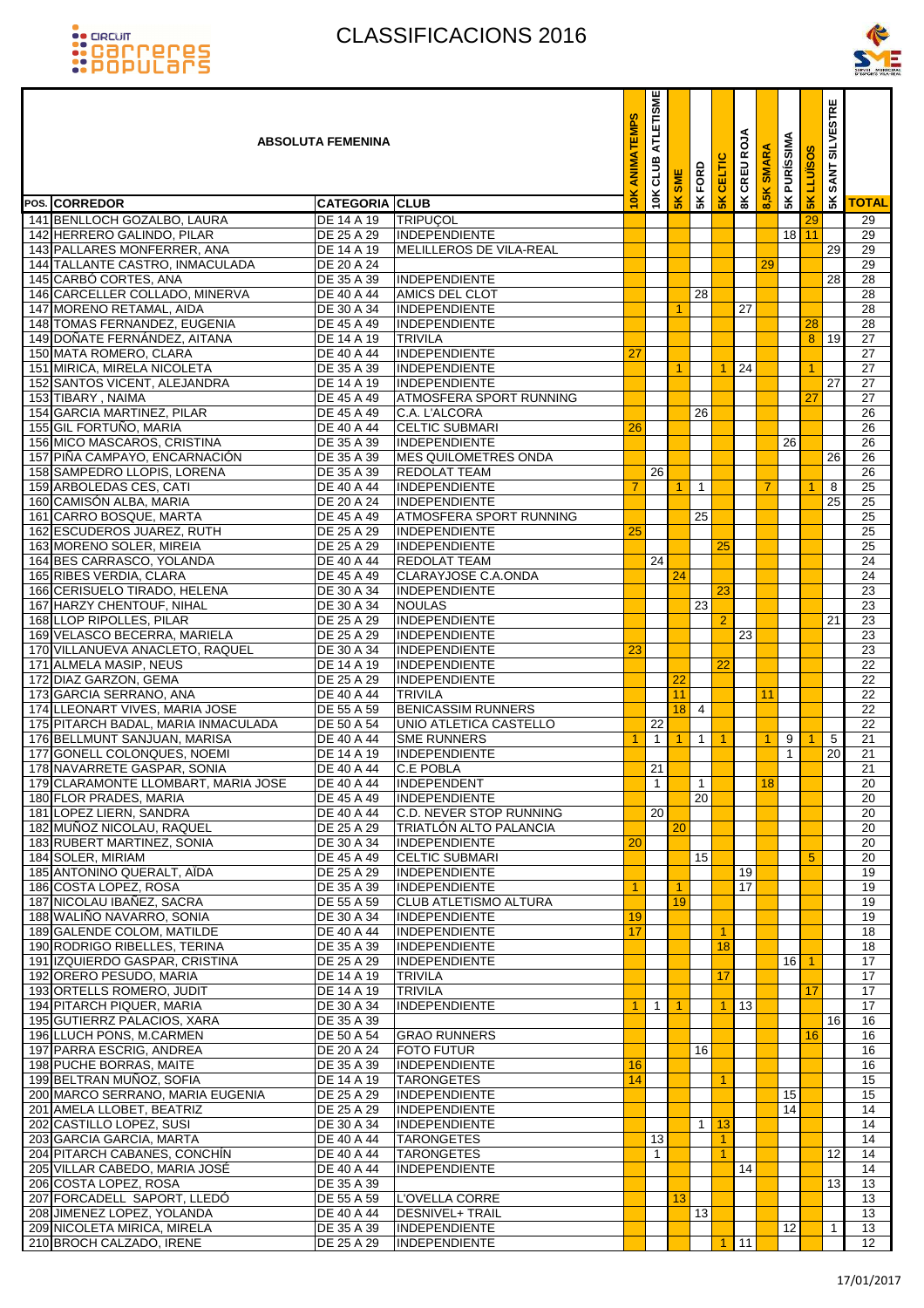



| <b>ABSOLUTA FEMENINA</b><br><b>CATEGORIA</b> CLUB<br>DE 14 A 19<br><b>TRIPUCOL</b><br><b>INDEPENDIENTE</b> |                          |                                              |                      | <b>ATLETISME</b><br><b>CLUB</b> | <b>SK SME</b>   | 5K FORD        | CELTIC               | <b>ROJA</b><br>8K CREU | <b>SMARA</b> | <b>5K PURÍSSIMA</b> | <b>LLUÏSOS</b> | <b>SILVESTRE</b><br><b>SANT</b> |                       |
|------------------------------------------------------------------------------------------------------------|--------------------------|----------------------------------------------|----------------------|---------------------------------|-----------------|----------------|----------------------|------------------------|--------------|---------------------|----------------|---------------------------------|-----------------------|
| <b>POS. CORREDOR</b>                                                                                       |                          |                                              | $\frac{1}{2}$        | 10K                             |                 |                | $\frac{1}{5}$        |                        | 8,5K         |                     | $\frac{1}{2}$  | $\frac{1}{2}$                   | <b>TOTAL</b>          |
| 141 BENLLOCH GOZALBO, LAURA                                                                                |                          |                                              |                      |                                 |                 |                |                      |                        |              |                     | 29             |                                 | 29                    |
| 142 HERRERO GALINDO, PILAR<br>143 PALLARES MONFERRER, ANA                                                  | DE 25 A 29<br>DE 14 A 19 | MELILLEROS DE VILA-REAL                      |                      |                                 |                 |                |                      |                        |              |                     | $18$ 11        | 29                              | 29<br>29              |
| 144 TALLANTE CASTRO, INMACULADA                                                                            | DE 20 A 24               |                                              |                      |                                 |                 |                |                      |                        | 29           |                     |                |                                 | 29                    |
| 145 CARBÓ CORTES, ANA                                                                                      | DE 35 A 39               | INDEPENDIENTE                                |                      |                                 |                 |                |                      |                        |              |                     |                | 28                              | $\overline{28}$       |
| 146 CARCELLER COLLADO, MINERVA                                                                             | DE 40 A 44               | <b>AMICS DEL CLOT</b>                        |                      |                                 |                 | 28             |                      |                        |              |                     |                |                                 | $\overline{28}$       |
| 147 MORENO RETAMAL, AIDA                                                                                   | DE 30 A 34               | INDEPENDIENTE                                |                      |                                 |                 |                |                      | 27                     |              |                     |                |                                 | 28                    |
| 148 TOMAS FERNANDEZ, EUGENIA                                                                               | DE 45 A 49               | INDEPENDIENTE                                |                      |                                 |                 |                |                      |                        |              |                     | 28             |                                 | $\overline{28}$       |
| 149 DONATE FERNANDEZ, AITANA<br>150 MATA ROMERO, CLARA                                                     | DE 14 A 19<br>DE 40 A 44 | <b>TRIVILA</b><br>INDEPENDIENTE              | 27                   |                                 |                 |                |                      |                        |              |                     |                | 8 19                            | 27<br>$\overline{27}$ |
| 151 MIRICA, MIRELA NICOLETA                                                                                | DE 35 A 39               | <b>INDEPENDIENTE</b>                         |                      |                                 | 1               |                | 1                    | 24                     |              |                     |                |                                 | 27                    |
| 152 SANTOS VICENT, ALEJANDRA                                                                               | DE 14 A 19               | <b>INDEPENDIENTE</b>                         |                      |                                 |                 |                |                      |                        |              |                     |                | 27                              | $\overline{27}$       |
| 153 TIBARY, NAIMA                                                                                          | DE 45 A 49               | <b>ATMOSFERA SPORT RUNNING</b>               |                      |                                 |                 |                |                      |                        |              |                     | 27             |                                 | 27                    |
| 154 GARCIA MARTINEZ, PILAR                                                                                 | DE 45 A 49               | C.A. L'ALCORA                                |                      |                                 |                 | 26             |                      |                        |              |                     |                |                                 | 26                    |
| 155 GIL FORTUÑO, MARIA                                                                                     | DE 40 A 44               | <b>CELTIC SUBMARI</b>                        | 26                   |                                 |                 |                |                      |                        |              |                     |                |                                 | 26                    |
| 156 MICO MASCAROS, CRISTINA<br>157 PIÑA CAMPAYO, ENCARNACIÓN                                               | DE 35 A 39<br>DE 35 A 39 | INDEPENDIENTE<br><b>MES QUILOMETRES ONDA</b> |                      |                                 |                 |                |                      |                        |              | 26                  |                | 26                              | 26<br>26              |
| 158 SAMPEDRO LLOPIS, LORENA                                                                                | DE 35 A 39               | <b>REDOLAT TEAM</b>                          |                      | 26                              |                 |                |                      |                        |              |                     |                |                                 | 26                    |
| 159 ARBOLEDAS CES, CATI                                                                                    | DE 40 A 44               | INDEPENDIENTE                                | $\overline{7}$       |                                 | 1               | $\overline{1}$ |                      |                        | 7            |                     |                | 8                               | 25                    |
| 160 CAMISÓN ALBA, MARIA                                                                                    | DE 20 A 24               | <b>INDEPENDIENTE</b>                         |                      |                                 |                 |                |                      |                        |              |                     |                | 25                              | $\overline{25}$       |
| 161 CARRO BOSQUE, MARTA                                                                                    | DE 45 A 49               | <b>ATMOSFERA SPORT RUNNING</b>               |                      |                                 |                 | 25             |                      |                        |              |                     |                |                                 | $\overline{25}$       |
| 162 ESCUDEROS JUAREZ, RUTH                                                                                 | DE 25 A 29               | <b>INDEPENDIENTE</b>                         | 25                   |                                 |                 |                |                      |                        |              |                     |                |                                 | $\overline{25}$       |
| 163 MORENO SOLER, MIREIA                                                                                   | DE 25 A 29               | <b>INDEPENDIENTE</b>                         |                      |                                 |                 |                | 25                   |                        |              |                     |                |                                 | $\overline{25}$<br>24 |
| 164 BES CARRASCO, YOLANDA<br>165 RIBES VERDIA, CLARA                                                       | DE 40 A 44<br>DE 45 A 49 | <b>REDOLAT TEAM</b><br>CLARAYJOSE C.A.ONDA   |                      | 24                              | 24              |                |                      |                        |              |                     |                |                                 | 24                    |
| 166 CERISUELO TIRADO, HELENA                                                                               | DE 30 A 34               | <b>INDEPENDIENTE</b>                         |                      |                                 |                 |                | 23                   |                        |              |                     |                |                                 | 23                    |
| 167 HARZY CHENTOUF, NIHAL                                                                                  | DE 30 A 34               | <b>NOULAS</b>                                |                      |                                 |                 | 23             |                      |                        |              |                     |                |                                 | $\overline{23}$       |
| 168 LLOP RIPOLLES, PILAR                                                                                   | DE 25 A 29               | <b>INDEPENDIENTE</b>                         |                      |                                 |                 |                | $\overline{2}$       |                        |              |                     |                | 21                              | 23                    |
| 169 VELASCO BECERRA, MARIELA                                                                               | DE 25 A 29               | <b>INDEPENDIENTE</b>                         |                      |                                 |                 |                |                      | 23                     |              |                     |                |                                 | 23                    |
| 170 VILLANUEVA ANACLETO, RAQUEL                                                                            | DE 30 A 34               | INDEPENDIENTE                                | 23                   |                                 |                 |                |                      |                        |              |                     |                |                                 | $\overline{23}$       |
| 171 ALMELA MASIP, NEUS<br>172 DIAZ GARZON, GEMA                                                            | DE 14 A 19<br>DE 25 A 29 | <b>INDEPENDIENTE</b><br><b>INDEPENDIENTE</b> |                      |                                 | 22              |                | 22                   |                        |              |                     |                |                                 | 22<br>$\overline{22}$ |
| 173 GARCIA SERRANO, ANA                                                                                    | DE 40 A 44               | <b>TRIVILA</b>                               |                      |                                 | 11              |                |                      |                        | 11           |                     |                |                                 | 22                    |
| 174 LLEONART VIVES, MARIA JOSE                                                                             | DE 55 A 59               | <b>BENICASSIM RUNNERS</b>                    |                      |                                 | 18              | 4              |                      |                        |              |                     |                |                                 | 22                    |
| 175 PITARCH BADAL, MARIA INMACULADA                                                                        | DE 50 A 54               | UNIO ATLETICA CASTELLO                       |                      | $\overline{22}$                 |                 |                |                      |                        |              |                     |                |                                 | $\overline{22}$       |
| 176 BELLMUNT SANJUAN, MARISA                                                                               | DE 40 A 44               | <b>SME RUNNERS</b>                           | $\blacktriangleleft$ | $\mathbf{1}$                    | $\mathbf{1}$    | $\overline{1}$ | $\blacktriangleleft$ |                        | $\mathbf{1}$ | 9                   |                | 5                               | $\overline{21}$       |
| 177 GONELL COLONQUES, NOEMI                                                                                | DE 14 A 19               | <b>INDEPENDIENTE</b>                         |                      |                                 |                 |                |                      |                        |              | $\mathbf{1}$        |                | 20                              | 21                    |
| 178 NAVARRETE GASPAR, SONIA<br>179 CLARAMONTE LLOMBART, MARIA JOSE                                         | DE 40 A 44               | <b>C.E POBLA</b><br>DE 40 A 44   INDEPENDENT |                      | 21<br>$\overline{1}$            |                 | $\overline{1}$ |                      |                        | 18           |                     |                |                                 | 21<br>20              |
| 180 FLOR PRADES, MARIA                                                                                     | DE 45 A 49               | INDEPENDIENTE                                |                      |                                 |                 | 20             |                      |                        |              |                     |                |                                 | 20                    |
| 181 LOPEZ LIERN, SANDRA                                                                                    | DE 40 A 44               | <b>C.D. NEVER STOP RUNNING</b>               |                      | 20                              |                 |                |                      |                        |              |                     |                |                                 | 20                    |
| 182 MUÑOZ NICOLAU, RAQUEL                                                                                  | DE 25 A 29               | <b>TRIATLÓN ALTO PALANCIA</b>                |                      |                                 | $\overline{20}$ |                |                      |                        |              |                     |                |                                 | $\overline{20}$       |
| 183 RUBERT MARTINEZ, SONIA                                                                                 | DE 30 A 34               | INDEPENDIENTE                                | 20                   |                                 |                 |                |                      |                        |              |                     |                |                                 | 20                    |
| 184 SOLER, MIRIAM                                                                                          | DE 45 A 49               | <b>CELTIC SUBMARI</b>                        |                      |                                 |                 | 15             |                      |                        |              |                     | 5              |                                 | 20                    |
| 185 ANTONINO QUERALT, AÏDA<br>186 COSTA LOPEZ, ROSA                                                        | DE 25 A 29<br>DE 35 A 39 | <b>INDEPENDIENTE</b><br>INDEPENDIENTE        | $\overline{1}$       |                                 |                 |                |                      | 19<br>17               |              |                     |                |                                 | 19<br>19              |
| 187 NICOLAU IBANEZ, SACRA                                                                                  | DE 55 A 59               | <b>CLUB ATLETISMO ALTURA</b>                 |                      |                                 | 19              |                |                      |                        |              |                     |                |                                 | $\overline{19}$       |
| 188 WALIÑO NAVARRO, SONIA                                                                                  | DE 30 A 34               | INDEPENDIENTE                                | 19                   |                                 |                 |                |                      |                        |              |                     |                |                                 | 19                    |
| 189 GALENDE COLOM, MATILDE                                                                                 | DE 40 A 44               | INDEPENDIENTE                                | 17                   |                                 |                 |                | $\mathbf{1}$         |                        |              |                     |                |                                 | $\overline{18}$       |
| 190 RODRIGO RIBELLES, TERINA                                                                               | DE 35 A 39               | <b>INDEPENDIENTE</b>                         |                      |                                 |                 |                | 18                   |                        |              |                     |                |                                 | 18                    |
| 191 IZQUIERDO GASPAR, CRISTINA<br>192 ORERO PESUDO, MARIA                                                  | DE 25 A 29<br>DE 14 A 19 | INDEPENDIENTE<br><b>TRIVILA</b>              |                      |                                 |                 |                | 17                   |                        |              | 16 <sup>1</sup>     | -1             |                                 | 17<br>17              |
| 193 ORTELLS ROMERO, JUDIT                                                                                  | DE 14 A 19               | <b>TRIVILA</b>                               |                      |                                 |                 |                |                      |                        |              |                     | 17             |                                 | $\overline{17}$       |
| 194 PITARCH PIQUER, MARIA                                                                                  | DE 30 A 34               | <b>INDEPENDIENTE</b>                         | $\blacktriangleleft$ | $\mathbf{1}$                    |                 |                | $\blacktriangleleft$ | 13                     |              |                     |                |                                 | $\overline{17}$       |
| 195 GUTIERRZ PALACIOS, XARA                                                                                | DE 35 A 39               |                                              |                      |                                 |                 |                |                      |                        |              |                     |                | 16                              | 16                    |
| 196 LLUCH PONS, M.CARMEN                                                                                   | DE 50 A 54               | <b>GRAO RUNNERS</b>                          |                      |                                 |                 |                |                      |                        |              |                     | 16             |                                 | 16                    |
| 197 PARRA ESCRIG, ANDREA                                                                                   | DE 20 A 24               | <b>FOTO FUTUR</b>                            |                      |                                 |                 | 16             |                      |                        |              |                     |                |                                 | 16                    |
| 198 PUCHE BORRAS, MAITE                                                                                    | DE 35 A 39               | <b>INDEPENDIENTE</b>                         | 16<br>14             |                                 |                 |                |                      |                        |              |                     |                |                                 | 16                    |
| 199 BELTRAN MUNOZ, SOFIA<br>200 MARCO SERRANO, MARIA EUGENIA                                               | DE 14 A 19<br>DE 25 A 29 | <b>TARONGETES</b><br>INDEPENDIENTE           |                      |                                 |                 |                | $\blacktriangleleft$ |                        |              | 15                  |                |                                 | 15<br>15              |
| 201 AMELA LLOBET, BEATRIZ                                                                                  | DE 25 A 29               | <b>INDEPENDIENTE</b>                         |                      |                                 |                 |                |                      |                        |              | 14                  |                |                                 | 14                    |
| 202 CASTILLO LOPEZ, SUSI                                                                                   | DE 30 A 34               | INDEPENDIENTE                                |                      |                                 |                 | $\mathbf{1}$   | 13                   |                        |              |                     |                |                                 | 14                    |
| 203 GARCIA GARCIA, MARTA                                                                                   | DE 40 A 44               | <b>TARONGETES</b>                            |                      | 13                              |                 |                | $\blacktriangleleft$ |                        |              |                     |                |                                 | 14                    |
| 204 PITARCH CABANES, CONCHÍN                                                                               | DE 40 A 44               | <b>TARONGETES</b>                            |                      | 1                               |                 |                | $\blacktriangleleft$ |                        |              |                     |                | 12                              | 14                    |
| 205 VILLAR CABEDO, MARIA JOSÉ<br>206 COSTA LOPEZ, ROSA                                                     | DE 40 A 44<br>DE 35 A 39 | <b>INDEPENDIENTE</b>                         |                      |                                 |                 |                |                      | 14                     |              |                     |                |                                 | 14<br>13              |
| 207 FORCADELL SAPORT, LLEDÓ                                                                                | DE 55 A 59               | L'OVELLA CORRE                               |                      |                                 | 13              |                |                      |                        |              |                     |                | 13                              | 13                    |
| 208 JIMENEZ LOPEZ, YOLANDA                                                                                 | DE 40 A 44               | <b>DESNIVEL+ TRAIL</b>                       |                      |                                 |                 | 13             |                      |                        |              |                     |                |                                 | 13                    |
| 209 NICOLETA MIRICA, MIRELA                                                                                | DE 35 A 39               | <b>INDEPENDIENTE</b>                         |                      |                                 |                 |                |                      |                        |              | 12                  |                | $\mathbf{1}$                    | 13                    |
| 210 BROCH CALZADO, IRENE                                                                                   | DE 25 A 29               | INDEPENDIENTE                                |                      |                                 |                 |                | 1                    | 11                     |              |                     |                |                                 | $12 \overline{ }$     |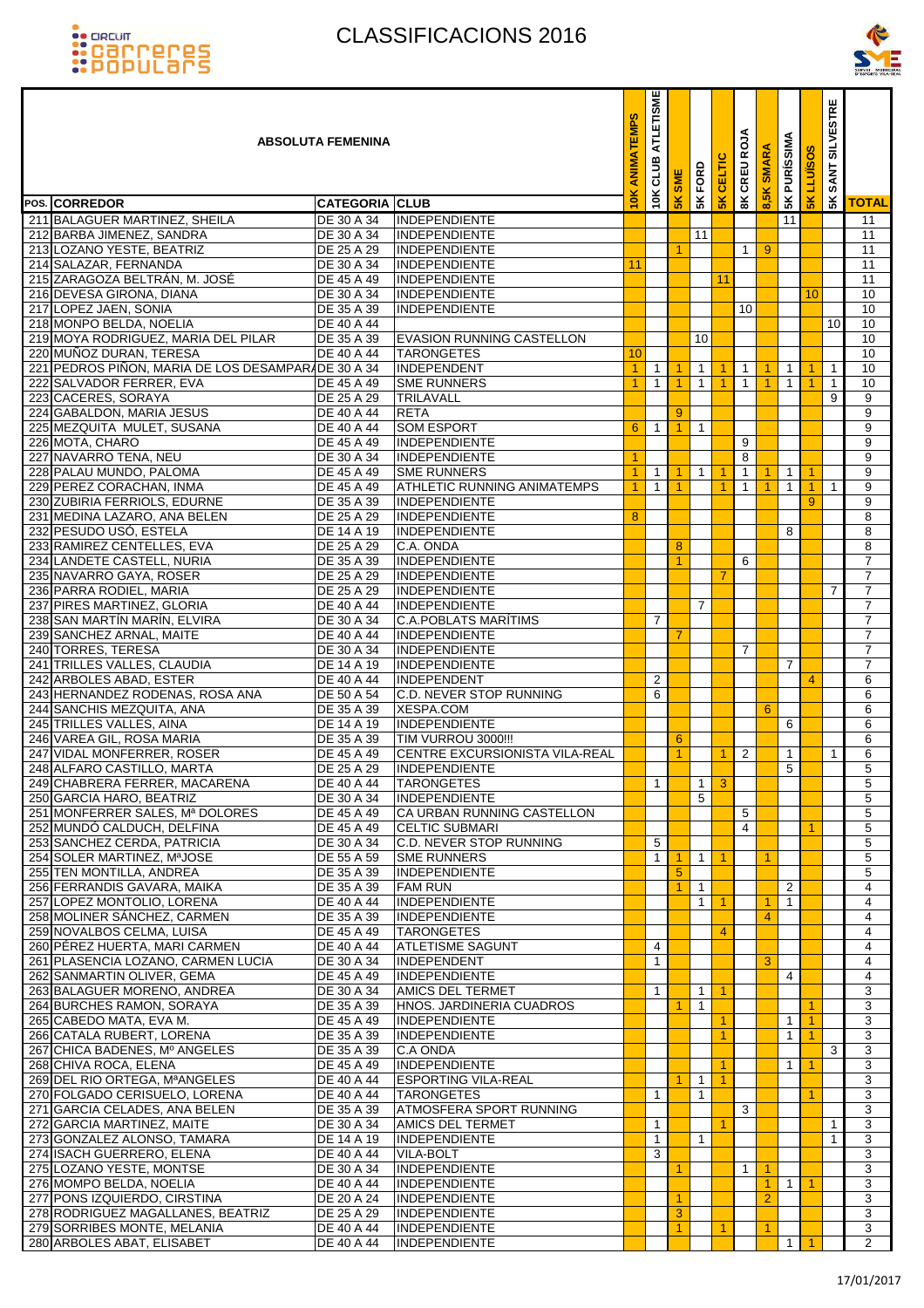



| <b>ABSOLUTA FEMENINA</b><br>POS. CORREDOR<br><b>CATEGORIA</b> CLUB<br>211 BALAGUER MARTINEZ, SHEILA<br>INDEPENDIENTE<br>DE 30 A 34<br>DE 30 A 34<br><b>INDEPENDIENTE</b> |                          |                                               | EMPS<br>Š<br>₹<br>$\frac{10}{5}$ | ATLETISME<br><b>CLUB</b><br>10K | <b>SME</b><br>$\frac{1}{10}$ | <b>SK FORD</b> | <b>5K CELTIC</b>     | 8K CREU ROJA   | ⋖<br>8,5K SMAR       | 5K PURÍSSIMA                 | <b>LLUISOS</b><br>$\frac{1}{2}$ | <b>SILVESTRE</b><br>SANT:<br>5K | <b>TOTAL</b>        |
|--------------------------------------------------------------------------------------------------------------------------------------------------------------------------|--------------------------|-----------------------------------------------|----------------------------------|---------------------------------|------------------------------|----------------|----------------------|----------------|----------------------|------------------------------|---------------------------------|---------------------------------|---------------------|
|                                                                                                                                                                          |                          |                                               |                                  |                                 |                              |                |                      |                |                      | 11                           |                                 |                                 | 11                  |
| 212 BARBA JIMENEZ, SANDRA                                                                                                                                                |                          |                                               |                                  |                                 |                              | 11             |                      |                |                      |                              |                                 |                                 | 11                  |
| 213 LOZANO YESTE, BEATRIZ                                                                                                                                                | DE 25 A 29               | <b>INDEPENDIENTE</b>                          |                                  |                                 | $\mathbf{1}$                 |                |                      | $\mathbf{1}$   | 9                    |                              |                                 |                                 | 11                  |
| 214 SALAZAR, FERNANDA                                                                                                                                                    | DE 30 A 34               | INDEPENDIENTE                                 | 11                               |                                 |                              |                |                      |                |                      |                              |                                 |                                 | 11                  |
| 215 ZARAGOZA BELTRÁN, M. JOSÉ                                                                                                                                            | DE 45 A 49               | <b>INDEPENDIENTE</b>                          |                                  |                                 |                              |                | 11                   |                |                      |                              |                                 |                                 | 11                  |
| 216 DEVESA GIRONA, DIANA                                                                                                                                                 | DE 30 A 34               | <b>INDEPENDIENTE</b>                          |                                  |                                 |                              |                |                      |                |                      |                              | 10                              |                                 | 10                  |
| 217 LOPEZ JAEN, SONIA<br>218 MONPO BELDA, NOELIA                                                                                                                         | DE 35 A 39<br>DE 40 A 44 | INDEPENDIENTE                                 |                                  |                                 |                              |                |                      | 10             |                      |                              |                                 | 10                              | 10<br>10            |
| 219 MOYA RODRIGUEZ, MARIA DEL PILAR                                                                                                                                      | DE 35 A 39               | <b>EVASION RUNNING CASTELLON</b>              |                                  |                                 |                              | 10             |                      |                |                      |                              |                                 |                                 | 10                  |
| 220 MUÑOZ DURAN, TERESA                                                                                                                                                  | DE 40 A 44               | <b>TARONGETES</b>                             | 10                               |                                 |                              |                |                      |                |                      |                              |                                 |                                 | 10                  |
| 221 PEDROS PINON, MARIA DE LOS DESAMPARADE 30 A 34                                                                                                                       |                          | INDEPENDENT                                   | $\blacktriangleleft$             | $\mathbf{1}$                    | 1                            | $\overline{1}$ | $\blacktriangleleft$ | $\mathbf{1}$   | 1                    | $\mathbf{1}$                 |                                 | $\mathbf{1}$                    | 10                  |
| 222 SALVADOR FERRER, EVA                                                                                                                                                 | DE 45 A 49               | <b>SME RUNNERS</b>                            | $\mathbf{1}$                     | 1                               | $\mathbf{1}$                 | $\overline{1}$ | $\blacktriangleleft$ | $\mathbf{1}$   | $\blacktriangleleft$ | $\mathbf{1}$                 |                                 | $\mathbf{1}$                    | 10                  |
| 223 CACERES, SORAYA                                                                                                                                                      | DE 25 A 29               | <b>TRILAVALL</b>                              |                                  |                                 |                              |                |                      |                |                      |                              |                                 | 9                               | 9                   |
| 224 GABALDON, MARIA JESUS<br>225 MEZQUITA MULET, SUSANA                                                                                                                  | DE 40 A 44<br>DE 40 A 44 | <b>RETA</b><br><b>SOM ESPORT</b>              | 6                                | $\mathbf{1}$                    | $\overline{9}$               | $\overline{1}$ |                      |                |                      |                              |                                 |                                 | 9<br>9              |
| 226 MOTA, CHARO                                                                                                                                                          | DE 45 A 49               | <b>INDEPENDIENTE</b>                          |                                  |                                 | $\mathbf{1}$                 |                |                      | 9              |                      |                              |                                 |                                 | 9                   |
| 227 NAVARRO TENA, NEU                                                                                                                                                    | DE 30 A 34               | <b>INDEPENDIENTE</b>                          | $\blacktriangleleft$             |                                 |                              |                |                      | 8              |                      |                              |                                 |                                 | $\overline{9}$      |
| 228 PALAU MUNDO, PALOMA                                                                                                                                                  | DE 45 A 49               | <b>SME RUNNERS</b>                            | $\blacktriangleleft$             | $\mathbf{1}$                    | $\mathbf{1}$                 | $\overline{1}$ | $\blacktriangleleft$ | $\mathbf{1}$   | $\mathbf{1}$         | $\mathbf{1}$                 | $\blacktriangleleft$            |                                 | 9                   |
| 229 PEREZ CORACHAN, INMA                                                                                                                                                 | DE 45 A 49               | <b>ATHLETIC RUNNING ANIMATEMPS</b>            | $\blacktriangleleft$             | 1                               | 1                            |                | $\blacktriangleleft$ | $\mathbf{1}$   | 1.                   | $\mathbf{1}$                 | -1.                             | 1                               | 9                   |
| 230 ZUBIRIA FERRIOLS, EDURNE                                                                                                                                             | DE 35 A 39               | <b>INDEPENDIENTE</b>                          |                                  |                                 |                              |                |                      |                |                      |                              | 9                               |                                 | 9                   |
| 231 MEDINA LAZARO, ANA BELEN                                                                                                                                             | DE 25 A 29               | INDEPENDIENTE                                 | 8                                |                                 |                              |                |                      |                |                      |                              |                                 |                                 | 8                   |
| 232 PESUDO USO, ESTELA                                                                                                                                                   | DE 14 A 19               | <b>INDEPENDIENTE</b>                          |                                  |                                 |                              |                |                      |                |                      | 8                            |                                 |                                 | 8                   |
| 233 RAMIREZ CENTELLES, EVA<br>234 LANDETE CASTELL, NURIA                                                                                                                 | DE 25 A 29<br>DE 35 A 39 | C.A. ONDA<br>INDEPENDIENTE                    |                                  |                                 | 8<br>1                       |                |                      | 6              |                      |                              |                                 |                                 | 8<br>$\overline{7}$ |
| 235 NAVARRO GAYA, ROSER                                                                                                                                                  | DE 25 A 29               | INDEPENDIENTE                                 |                                  |                                 |                              |                | $\overline{7}$       |                |                      |                              |                                 |                                 | $\overline{7}$      |
| 236 PARRA RODIEL, MARIA                                                                                                                                                  | DE 25 A 29               | INDEPENDIENTE                                 |                                  |                                 |                              |                |                      |                |                      |                              |                                 | 7                               | $\overline{7}$      |
| 237 PIRES MARTINEZ, GLORIA                                                                                                                                               | DE 40 A 44               | INDEPENDIENTE                                 |                                  |                                 |                              | $\overline{7}$ |                      |                |                      |                              |                                 |                                 | $\overline{7}$      |
| 238 SAN MARTÍN MARÍN, ELVIRA                                                                                                                                             | DE 30 A 34               | <b>C.A.POBLATS MARÍTIMS</b>                   |                                  | $\overline{7}$                  |                              |                |                      |                |                      |                              |                                 |                                 | $\overline{7}$      |
| 239 SANCHEZ ARNAL, MAITE                                                                                                                                                 | DE 40 A 44               | <b>INDEPENDIENTE</b>                          |                                  |                                 |                              |                |                      |                |                      |                              |                                 |                                 | $\overline{7}$      |
| 240 TORRES, TERESA                                                                                                                                                       | DE 30 A 34               | <b>INDEPENDIENTE</b>                          |                                  |                                 |                              |                |                      | $\overline{7}$ |                      |                              |                                 |                                 | $\overline{7}$      |
| 241 TRILLES VALLES, CLAUDIA                                                                                                                                              | DE 14 A 19               | INDEPENDIENTE                                 |                                  |                                 |                              |                |                      |                |                      | $\overline{7}$               | 4                               |                                 | $\overline{7}$<br>6 |
| 242 ARBOLES ABAD, ESTER<br>243 HERNANDEZ RODENAS, ROSA ANA                                                                                                               | DE 40 A 44<br>DE 50 A 54 | <b>INDEPENDENT</b><br>C.D. NEVER STOP RUNNING |                                  | 2<br>6                          |                              |                |                      |                |                      |                              |                                 |                                 | 6                   |
| 244 SANCHIS MEZQUITA, ANA                                                                                                                                                | DE 35 A 39               | <b>XESPA.COM</b>                              |                                  |                                 |                              |                |                      |                | 6                    |                              |                                 |                                 | 6                   |
| 245 TRILLES VALLES, AINA                                                                                                                                                 | DE 14 A 19               | <b>INDEPENDIENTE</b>                          |                                  |                                 |                              |                |                      |                |                      | 6                            |                                 |                                 | 6                   |
| 246 VAREA GIL, ROSA MARIA                                                                                                                                                | DE 35 A 39               | TIM VURROU 3000!!!                            |                                  |                                 | 6                            |                |                      |                |                      |                              |                                 |                                 | 6                   |
| 247 VIDAL MONFERRER, ROSER                                                                                                                                               | DE 45 A 49               | CENTRE EXCURSIONISTA VILA-REAL                |                                  |                                 | 1.                           |                | $\blacktriangleleft$ | 2              |                      | $\mathbf{1}$                 |                                 | 1                               | 6                   |
| 248 ALFARO CASTILLO, MARTA                                                                                                                                               | DE 25 A 29               | <b>INDEPENDIENTE</b>                          |                                  |                                 |                              |                |                      |                |                      | $\overline{5}$               |                                 |                                 | 5                   |
| 249 CHABRERA FERRER, MACARENA<br>250 GARCIA HARO, BEATRIZ                                                                                                                | DE 40 A 44<br>DE 30 A 34 | <b>TARONGETES</b><br>INDEPENDIENTE            |                                  | $\overline{\phantom{a}}$        |                              | 13<br>5        |                      |                |                      |                              |                                 |                                 | 5 <sup>7</sup><br>5 |
| 251 MONFERRER SALES, Mª DOLORES                                                                                                                                          | DE 45 A 49               | CA URBAN RUNNING CASTELLON                    |                                  |                                 |                              |                |                      | 5              |                      |                              |                                 |                                 | 5                   |
| 252 MUNDÓ CALDUCH, DELFINA                                                                                                                                               | DE 45 A 49               | <b>CELTIC SUBMARI</b>                         |                                  |                                 |                              |                |                      | $\overline{4}$ |                      |                              | 1                               |                                 | 5                   |
| 253 SANCHEZ CERDA, PATRICIA                                                                                                                                              | DE 30 A 34               | C.D. NEVER STOP RUNNING                       |                                  | $\overline{5}$                  |                              |                |                      |                |                      |                              |                                 |                                 | 5                   |
| 254 SOLER MARTINEZ, MªJOSE                                                                                                                                               | DE 55 A 59               | <b>SME RUNNERS</b>                            |                                  | $\mathbf{1}$                    | $\mathbf{1}$                 | $\mathbf{1}$   | $\overline{1}$       |                | 1                    |                              |                                 |                                 | 5                   |
| 255 TEN MONTILLA, ANDREA                                                                                                                                                 | DE 35 A 39               | INDEPENDIENTE                                 |                                  |                                 | 5 <sup>5</sup>               |                |                      |                |                      |                              |                                 |                                 | 5                   |
| 256 FERRANDIS GAVARA, MAIKA                                                                                                                                              | DE 35 A 39               | <b>FAM RUN</b><br><b>INDEPENDIENTE</b>        |                                  |                                 | $\mathbf{1}$                 | $\overline{1}$ |                      |                |                      | 2                            |                                 |                                 | $\overline{4}$<br>4 |
| 257 LOPEZ MONTOLIO, LORENA<br>258 MOLINER SÁNCHEZ, CARMEN                                                                                                                | DE 40 A 44<br>DE 35 A 39 | INDEPENDIENTE                                 |                                  |                                 |                              | $\mathbf{1}$   | $\overline{1}$       |                | 1.<br>$\overline{4}$ | $\overline{1}$               |                                 |                                 | 4                   |
| 259 NOVALBOS CELMA, LUISA                                                                                                                                                | DE 45 A 49               | <b>TARONGETES</b>                             |                                  |                                 |                              |                | 4                    |                |                      |                              |                                 |                                 | $\overline{4}$      |
| 260 PÉREZ HUERTA, MARI CARMEN                                                                                                                                            | DE 40 A 44               | <b>ATLETISME SAGUNT</b>                       |                                  | 4                               |                              |                |                      |                |                      |                              |                                 |                                 | 4                   |
| 261 PLASENCIA LOZANO, CARMEN LUCIA                                                                                                                                       | DE 30 A 34               | <b>INDEPENDENT</b>                            |                                  | 1                               |                              |                |                      |                | 3                    |                              |                                 |                                 | 4                   |
| 262 SANMARTIN OLIVER, GEMA                                                                                                                                               | DE 45 A 49               | INDEPENDIENTE                                 |                                  |                                 |                              |                |                      |                |                      | 4                            |                                 |                                 | 4                   |
| 263 BALAGUER MORENO, ANDREA                                                                                                                                              | DE 30 A 34               | AMICS DEL TERMET                              |                                  | 1                               |                              | $\overline{1}$ | $\overline{1}$       |                |                      |                              |                                 |                                 | 3                   |
| 264 BURCHES RAMON, SORAYA                                                                                                                                                | DE 35 A 39               | HNOS. JARDINERIA CUADROS                      |                                  |                                 | 1                            | $\overline{1}$ |                      |                |                      |                              |                                 |                                 | 3                   |
| 265 CABEDO MATA, EVA M.<br>266 CATALA RUBERT, LORENA                                                                                                                     | DE 45 A 49<br>DE 35 A 39 | INDEPENDIENTE<br>INDEPENDIENTE                |                                  |                                 |                              |                | -1                   |                |                      | $\mathbf{1}$<br>$\mathbf{1}$ | -1.                             |                                 | 3<br>3              |
| 267 CHICA BADENES, Mº ANGELES                                                                                                                                            | DE 35 A 39               | <b>C.A ONDA</b>                               |                                  |                                 |                              |                |                      |                |                      |                              |                                 | 3                               | 3                   |
| 268 CHIVA ROCA, ELENA                                                                                                                                                    | DE 45 A 49               | INDEPENDIENTE                                 |                                  |                                 |                              |                | $\blacktriangleleft$ |                |                      | $\mathbf{1}$                 |                                 |                                 | 3                   |
| 269 DEL RIO ORTEGA, MªANGELES                                                                                                                                            | DE 40 A 44               | <b>ESPORTING VILA-REAL</b>                    |                                  |                                 |                              | $\overline{1}$ | $\blacktriangleleft$ |                |                      |                              |                                 |                                 | 3                   |
| 270 FOLGADO CERISUELO, LORENA                                                                                                                                            | DE 40 A 44               | <b>TARONGETES</b>                             |                                  | $\mathbf{1}$                    |                              | $\mathbf{1}$   |                      |                |                      |                              | 1.                              |                                 | 3                   |
| 271 GARCIA CELADES, ANA BELEN                                                                                                                                            | DE 35 A 39               | ATMOSFERA SPORT RUNNING                       |                                  |                                 |                              |                |                      | 3              |                      |                              |                                 |                                 | 3                   |
| 272 GARCIA MARTINEZ, MAITE                                                                                                                                               | DE 30 A 34               | AMICS DEL TERMET                              |                                  | 1                               |                              |                | $\blacktriangleleft$ |                |                      |                              |                                 | 1                               | 3                   |
| 273 GONZALEZ ALONSO, TAMARA<br>274 ISACH GUERRERO, ELENA                                                                                                                 | DE 14 A 19<br>DE 40 A 44 | INDEPENDIENTE<br><b>VILA-BOLT</b>             |                                  | 1<br>3                          |                              | $\mathbf{1}$   |                      |                |                      |                              |                                 | 1                               | 3<br>3              |
| 275 LOZANO YESTE, MONTSE                                                                                                                                                 | DE 30 A 34               | INDEPENDIENTE                                 |                                  |                                 | 1                            |                |                      | $\mathbf{1}$   | -1.                  |                              |                                 |                                 | 3                   |
| 276 MOMPO BELDA, NOELIA                                                                                                                                                  | DE 40 A 44               | INDEPENDIENTE                                 |                                  |                                 |                              |                |                      |                | $\mathbf{1}$         | $\overline{1}$               |                                 |                                 | 3                   |
| 277 PONS IZQUIERDO, CIRSTINA                                                                                                                                             | DE 20 A 24               | INDEPENDIENTE                                 |                                  |                                 | 1                            |                |                      |                | $\overline{2}$       |                              |                                 |                                 | 3                   |
| 278 RODRIGUEZ MAGALLANES, BEATRIZ                                                                                                                                        | DE 25 A 29               | INDEPENDIENTE                                 |                                  |                                 | 3                            |                |                      |                |                      |                              |                                 |                                 | 3                   |
| 279 SORRIBES MONTE, MELANIA                                                                                                                                              | DE 40 A 44               | INDEPENDIENTE                                 |                                  |                                 | $\mathbf{1}$                 |                | -1                   |                | $\mathbf{1}$         |                              |                                 |                                 | 3                   |
| 280 ARBOLES ABAT, ELISABET                                                                                                                                               | DE 40 A 44               | <b>INDEPENDIENTE</b>                          |                                  |                                 |                              |                |                      |                |                      | 1                            | $\mathbf{1}$                    |                                 | $\overline{2}$      |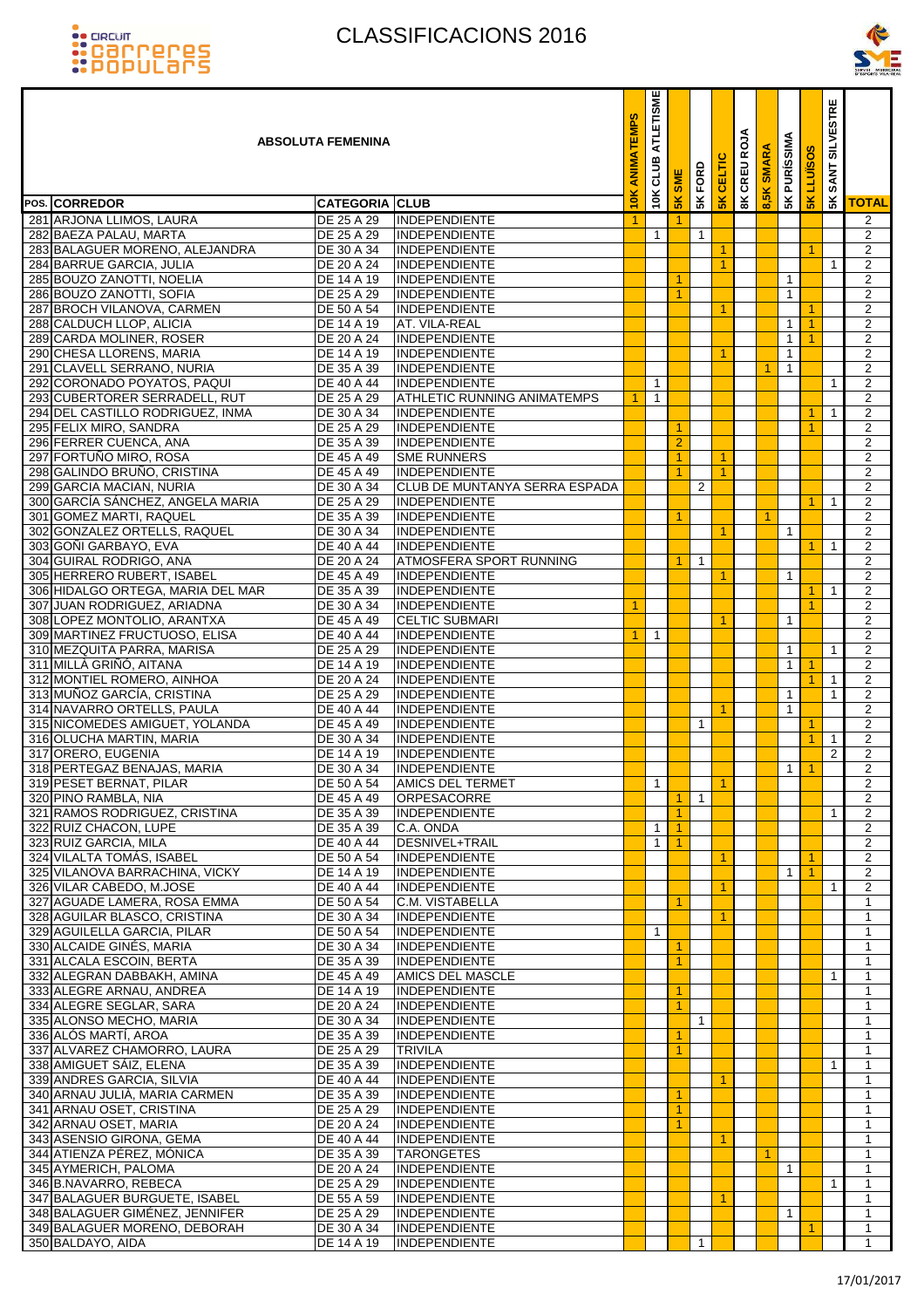



| <b>ABSOLUTA FEMENINA</b><br>POS. CORREDOR<br><b>CATEGORIA CLUB</b><br>281 ARJONA LLIMOS, LAURA<br>DE 25 A 29<br>INDEPENDIENTE<br>282 BAEZA PALAU, MARTA<br>DE 25 A 29<br><b>INDEPENDIENTE</b> |                          |                                              | <b>EMPS</b><br>ANIMA<br>10K | <b>ATLETISME</b><br>CLUB<br>10K | 5K SME                         | <b>SK FORD</b> | <b>SK CELTIC</b>                             | 8K CREU ROJA | ⋖<br>8,5K SMAR | <b>PURÍSSIMA</b><br>5K | <b>LLUISOS</b>       | <b>SILVESTRE</b><br>SANT: |                                  |
|-----------------------------------------------------------------------------------------------------------------------------------------------------------------------------------------------|--------------------------|----------------------------------------------|-----------------------------|---------------------------------|--------------------------------|----------------|----------------------------------------------|--------------|----------------|------------------------|----------------------|---------------------------|----------------------------------|
|                                                                                                                                                                                               |                          |                                              |                             |                                 |                                |                |                                              |              |                |                        | $\frac{1}{2}$        | 5 <sub>K</sub>            | <b>TOTAL</b>                     |
|                                                                                                                                                                                               |                          |                                              | $\blacktriangleleft$        | $\mathbf{1}$                    | $\blacktriangleleft$           | $\mathbf{1}$   |                                              |              |                |                        |                      |                           | 2<br>$\overline{2}$              |
| 283 BALAGUER MORENO, ALEJANDRA                                                                                                                                                                | DE 30 A 34               | <b>INDEPENDIENTE</b>                         |                             |                                 |                                |                | $\blacktriangleleft$                         |              |                |                        | 1                    |                           | 2                                |
| 284 BARRUE GARCIA, JULIA                                                                                                                                                                      | DE 20 A 24               | <b>INDEPENDIENTE</b>                         |                             |                                 |                                |                | $\blacktriangleleft$                         |              |                |                        |                      | 1                         | $\overline{2}$                   |
| 285 BOUZO ZANOTTI, NOELIA                                                                                                                                                                     | DE 14 A 19               | <b>INDEPENDIENTE</b>                         |                             |                                 |                                |                |                                              |              |                | $\mathbf{1}$           |                      |                           | 2                                |
| 286 BOUZO ZANOTTI, SOFIA                                                                                                                                                                      | DE 25 A 29               | <b>INDEPENDIENTE</b>                         |                             |                                 | 1                              |                |                                              |              |                | $\mathbf{1}$           |                      |                           | 2                                |
| 287 BROCH VILANOVA, CARMEN                                                                                                                                                                    | DE 50 A 54               | <b>INDEPENDIENTE</b>                         |                             |                                 |                                |                | $\blacktriangleleft$                         |              |                |                        | 1.                   |                           | $\overline{2}$                   |
| 288 CALDUCH LLOP, ALICIA<br>289 CARDA MOLINER, ROSER                                                                                                                                          | DE 14 A 19<br>DE 20 A 24 | AT. VILA-REAL<br><b>INDEPENDIENTE</b>        |                             |                                 |                                |                |                                              |              |                | 1<br>1                 | $\mathbf{1}$         |                           | $\overline{2}$<br>$\overline{2}$ |
| 290 CHESA LLORENS, MARIA                                                                                                                                                                      | DE 14 A 19               | INDEPENDIENTE                                |                             |                                 |                                |                | $\blacktriangleleft$                         |              |                | $\mathbf{1}$           |                      |                           | 2                                |
| 291 CLAVELL SERRANO, NURIA                                                                                                                                                                    | DE 35 A 39               | INDEPENDIENTE                                |                             |                                 |                                |                |                                              |              | 1              | $\mathbf{1}$           |                      |                           | $\overline{2}$                   |
| 292 CORONADO POYATOS, PAQUI                                                                                                                                                                   | DE 40 A 44               | <b>INDEPENDIENTE</b>                         |                             | 1                               |                                |                |                                              |              |                |                        |                      | 1                         | $\overline{2}$                   |
| 293 CUBERTORER SERRADELL, RUT                                                                                                                                                                 | DE 25 A 29               | <b>ATHLETIC RUNNING ANIMATEMPS</b>           | $\blacktriangleleft$        | $\mathbf{1}$                    |                                |                |                                              |              |                |                        |                      |                           | $\overline{2}$                   |
| 294 DEL CASTILLO RODRIGUEZ, INMA                                                                                                                                                              | DE 30 A 34               | <b>INDEPENDIENTE</b>                         |                             |                                 |                                |                |                                              |              |                |                        |                      | 1                         | $\overline{2}$                   |
| 295 FELIX MIRO, SANDRA                                                                                                                                                                        | DE 25 A 29               | <b>INDEPENDIENTE</b>                         |                             |                                 | 1                              |                |                                              |              |                |                        |                      |                           | $\overline{2}$                   |
| 296 FERRER CUENCA, ANA<br>297 FORTUÑO MIRO, ROSA                                                                                                                                              | DE 35 A 39<br>DE 45 A 49 | INDEPENDIENTE<br><b>SME RUNNERS</b>          |                             |                                 | $\overline{2}$<br>$\mathbf{1}$ |                |                                              |              |                |                        |                      |                           | $\overline{2}$<br>$\overline{2}$ |
| 298 GALINDO BRUNO, CRISTINA                                                                                                                                                                   | DE 45 A 49               | <b>INDEPENDIENTE</b>                         |                             |                                 | $\mathbf{1}$                   |                | $\blacktriangleleft$<br>$\blacktriangleleft$ |              |                |                        |                      |                           | $\overline{2}$                   |
| 299 GARCIA MACIAN, NURIA                                                                                                                                                                      | DE 30 A 34               | CLUB DE MUNTANYA SERRA ESPADA                |                             |                                 |                                | 2              |                                              |              |                |                        |                      |                           | $\overline{2}$                   |
| 300 GARCÍA SÁNCHEZ, ANGELA MARIA                                                                                                                                                              | DE 25 A 29               | INDEPENDIENTE                                |                             |                                 |                                |                |                                              |              |                |                        | 1                    | $\mathbf{1}$              | 2                                |
| 301 GOMEZ MARTI, RAQUEL                                                                                                                                                                       | DE 35 A 39               | <b>INDEPENDIENTE</b>                         |                             |                                 | $\mathbf{1}$                   |                |                                              |              | 1              |                        |                      |                           | $\overline{2}$                   |
| 302 GONZALEZ ORTELLS, RAQUEL                                                                                                                                                                  | DE 30 A 34               | INDEPENDIENTE                                |                             |                                 |                                |                | $\blacktriangleleft$                         |              |                | $\mathbf{1}$           |                      |                           | 2                                |
| 303 GOÑI GARBAYO, EVA                                                                                                                                                                         | DE 40 A 44               | <b>INDEPENDIENTE</b>                         |                             |                                 |                                |                |                                              |              |                |                        | 1.                   | 1                         | $\overline{2}$                   |
| 304 GUIRAL RODRIGO, ANA                                                                                                                                                                       | DE 20 A 24               | ATMOSFERA SPORT RUNNING                      |                             |                                 | 1                              | $\overline{1}$ |                                              |              |                |                        |                      |                           | $\overline{2}$                   |
| 305 HERRERO RUBERT, ISABEL<br>306 HIDALGO ORTEGA, MARIA DEL MAR                                                                                                                               | DE 45 A 49<br>DE 35 A 39 | <b>INDEPENDIENTE</b><br>INDEPENDIENTE        |                             |                                 |                                |                | $\blacktriangleleft$                         |              |                | 1                      |                      |                           | $\overline{2}$<br>$\overline{2}$ |
| 307 JUAN RODRIGUEZ, ARIADNA                                                                                                                                                                   | DE 30 A 34               | INDEPENDIENTE                                | $\blacktriangleleft$        |                                 |                                |                |                                              |              |                |                        | 1.                   | -1                        | $\overline{2}$                   |
| 308 LOPEZ MONTOLIO, ARANTXA                                                                                                                                                                   | DE 45 A 49               | <b>CELTIC SUBMARI</b>                        |                             |                                 |                                |                | 1                                            |              |                | 1                      |                      |                           | $\overline{2}$                   |
| 309 MARTINEZ FRUCTUOSO, ELISA                                                                                                                                                                 | DE 40 A 44               | INDEPENDIENTE                                | $\mathbf{1}$                | 1                               |                                |                |                                              |              |                |                        |                      |                           | $\overline{2}$                   |
| 310 MEZQUITA PARRA, MARISA                                                                                                                                                                    | DE 25 A 29               | <b>INDEPENDIENTE</b>                         |                             |                                 |                                |                |                                              |              |                | 1                      |                      | 1                         | $\overline{2}$                   |
| 311 MILLÀ GRIÑÓ, AITANA                                                                                                                                                                       | DE 14 A 19               | <b>INDEPENDIENTE</b>                         |                             |                                 |                                |                |                                              |              |                | $\mathbf{1}$           |                      |                           | $\overline{2}$                   |
| 312 MONTIEL ROMERO, AINHOA                                                                                                                                                                    | DE 20 A 24               | <b>INDEPENDIENTE</b>                         |                             |                                 |                                |                |                                              |              |                |                        |                      | $\mathbf{1}$              | $\overline{2}$                   |
| 313 MUÑOZ GARCÍA, CRISTINA                                                                                                                                                                    | DE 25 A 29               | <b>INDEPENDIENTE</b>                         |                             |                                 |                                |                |                                              |              |                | $\mathbf{1}$           |                      | $\mathbf{1}$              | $\overline{2}$                   |
| 314 NAVARRO ORTELLS, PAULA<br>315 NICOMEDES AMIGUET, YOLANDA                                                                                                                                  | DE 40 A 44<br>DE 45 A 49 | <b>INDEPENDIENTE</b><br>INDEPENDIENTE        |                             |                                 |                                | $\mathbf{1}$   | $\blacktriangleleft$                         |              |                | $\mathbf{1}$           | $\mathbf{1}$         |                           | 2<br>$\overline{2}$              |
| 316 OLUCHA MARTIN, MARIA                                                                                                                                                                      | DE 30 A 34               | <b>INDEPENDIENTE</b>                         |                             |                                 |                                |                |                                              |              |                |                        |                      | 1                         | $\overline{2}$                   |
| 317 ORERO, EUGENIA                                                                                                                                                                            | DE 14 A 19               | <b>INDEPENDIENTE</b>                         |                             |                                 |                                |                |                                              |              |                |                        |                      | 2                         | $\overline{2}$                   |
| 318 PERTEGAZ BENAJAS, MARIA                                                                                                                                                                   | DE 30 A 34               | <b>INDEPENDIENTE</b>                         |                             |                                 |                                |                |                                              |              |                | $\mathbf{1}$           | $\blacktriangleleft$ |                           | $\overline{2}$                   |
| 319 PESET BERNAT, PILAR                                                                                                                                                                       |                          | DE 50 A 54 AMICS DEL TERMET                  |                             | $\overline{1}$                  |                                |                | $\blacktriangleleft$                         |              |                |                        |                      |                           | $\overline{2}$                   |
| 320 PINO RAMBLA, NIA                                                                                                                                                                          | DE 45 A 49               | <b>ORPESACORRE</b>                           |                             |                                 | $\mathbf{1}$                   | $\overline{1}$ |                                              |              |                |                        |                      |                           | $\overline{2}$                   |
| 321 RAMOS RODRIGUEZ, CRISTINA                                                                                                                                                                 | DE 35 A 39               | <b>INDEPENDIENTE</b>                         |                             |                                 | -1.                            |                |                                              |              |                |                        |                      | 1                         | $\overline{2}$                   |
| 322 RUIZ CHACON, LUPE<br>323 RUIZ GARCIA, MILA                                                                                                                                                | DE 35 A 39<br>DE 40 A 44 | C.A. ONDA<br><b>DESNIVEL+TRAIL</b>           |                             | $\mathbf{1}$<br>$\mathbf{1}$    | $\overline{1}$                 |                |                                              |              |                |                        |                      |                           | $\overline{2}$<br>$\overline{2}$ |
| 324 VILALTA TOMÁS, ISABEL                                                                                                                                                                     | DE 50 A 54               | <b>INDEPENDIENTE</b>                         |                             |                                 |                                |                | $\blacktriangleleft$                         |              |                |                        |                      |                           | $\overline{2}$                   |
| 325 VILANOVA BARRACHINA, VICKY                                                                                                                                                                | DE 14 A 19               | <b>INDEPENDIENTE</b>                         |                             |                                 |                                |                |                                              |              |                | 1                      | 1                    |                           | $\overline{2}$                   |
| 326 VILAR CABEDO, M.JOSE                                                                                                                                                                      | DE 40 A 44               | INDEPENDIENTE                                |                             |                                 |                                |                | $\blacktriangleleft$                         |              |                |                        |                      | 1                         | $\overline{2}$                   |
| 327 AGUADE LAMERA, ROSA EMMA                                                                                                                                                                  | DE 50 A 54               | C.M. VISTABELLA                              |                             |                                 | 1.                             |                |                                              |              |                |                        |                      |                           | $\mathbf{1}$                     |
| 328 AGUILAR BLASCO, CRISTINA                                                                                                                                                                  | DE 30 A 34               | <b>INDEPENDIENTE</b>                         |                             |                                 |                                |                | 1                                            |              |                |                        |                      |                           | $\mathbf{1}$                     |
| 329 AGUILELLA GARCIA, PILAR                                                                                                                                                                   | DE 50 A 54               | <b>INDEPENDIENTE</b>                         |                             | $\mathbf{1}$                    |                                |                |                                              |              |                |                        |                      |                           | $\mathbf{1}$                     |
| 330 ALCAIDE GINÉS, MARIA<br>331 ALCALA ESCOIN, BERTA                                                                                                                                          | DE 30 A 34<br>DE 35 A 39 | <b>INDEPENDIENTE</b><br><b>INDEPENDIENTE</b> |                             |                                 | 1<br>1                         |                |                                              |              |                |                        |                      |                           | 1<br>$\mathbf{1}$                |
| 332 ALEGRAN DABBAKH, AMINA                                                                                                                                                                    | DE 45 A 49               | AMICS DEL MASCLE                             |                             |                                 |                                |                |                                              |              |                |                        |                      | $\mathbf{1}$              | $\mathbf{1}$                     |
| 333 ALEGRE ARNAU, ANDREA                                                                                                                                                                      | DE 14 A 19               | INDEPENDIENTE                                |                             |                                 | 1                              |                |                                              |              |                |                        |                      |                           | $\mathbf{1}$                     |
| 334 ALEGRE SEGLAR, SARA                                                                                                                                                                       | DE 20 A 24               | <b>INDEPENDIENTE</b>                         |                             |                                 | -1                             |                |                                              |              |                |                        |                      |                           | $\mathbf{1}$                     |
| 335 ALONSO MECHO, MARIA                                                                                                                                                                       | DE 30 A 34               | INDEPENDIENTE                                |                             |                                 |                                | $\mathbf{1}$   |                                              |              |                |                        |                      |                           | $\mathbf{1}$                     |
| 336 ALOS MARTI, AROA                                                                                                                                                                          | DE 35 A 39               | <b>INDEPENDIENTE</b>                         |                             |                                 | 1                              |                |                                              |              |                |                        |                      |                           | $\mathbf{1}$                     |
| 337 ALVAREZ CHAMORRO, LAURA                                                                                                                                                                   | DE 25 A 29               | <b>TRIVILA</b>                               |                             |                                 | $\blacktriangleleft$           |                |                                              |              |                |                        |                      |                           | $\mathbf{1}$                     |
| 338 AMIGUET SÁIZ, ELENA                                                                                                                                                                       | DE 35 A 39               | INDEPENDIENTE                                |                             |                                 |                                |                |                                              |              |                |                        |                      | 1                         | $\mathbf{1}$                     |
| 339 ANDRES GARCIA, SILVIA<br>340 ARNAU JULIÀ, MARIA CARMEN                                                                                                                                    | DE 40 A 44<br>DE 35 A 39 | <b>INDEPENDIENTE</b><br>INDEPENDIENTE        |                             |                                 | 1.                             |                | $\blacktriangleleft$                         |              |                |                        |                      |                           | $\mathbf{1}$<br>$\mathbf{1}$     |
| 341 ARNAU OSET, CRISTINA                                                                                                                                                                      | DE 25 A 29               | INDEPENDIENTE                                |                             |                                 |                                |                |                                              |              |                |                        |                      |                           | 1                                |
| 342 ARNAU OSET, MARIA                                                                                                                                                                         | DE 20 A 24               | INDEPENDIENTE                                |                             |                                 | $\mathbf{1}$                   |                |                                              |              |                |                        |                      |                           | $\mathbf{1}$                     |
| 343 ASENSIO GIRONA, GEMA                                                                                                                                                                      | DE 40 A 44               | INDEPENDIENTE                                |                             |                                 |                                |                | $\blacktriangleleft$                         |              |                |                        |                      |                           | $\mathbf{1}$                     |
| 344 ATIENZA PÉREZ, MÓNICA                                                                                                                                                                     | DE 35 A 39               | <b>TARONGETES</b>                            |                             |                                 |                                |                |                                              |              | 1              |                        |                      |                           | $\mathbf{1}$                     |
| 345 AYMERICH, PALOMA                                                                                                                                                                          | DE 20 A 24               | INDEPENDIENTE                                |                             |                                 |                                |                |                                              |              |                | $\mathbf{1}$           |                      |                           | $\mathbf{1}$                     |
| 346 B.NAVARRO, REBECA                                                                                                                                                                         | DE 25 A 29               | <b>INDEPENDIENTE</b>                         |                             |                                 |                                |                |                                              |              |                |                        |                      | $\mathbf{1}$              | $\mathbf{1}$                     |
| 347 BALAGUER BURGUETE, ISABEL<br>348 BALAGUER GIMÉNEZ, JENNIFER                                                                                                                               | DE 55 A 59<br>DE 25 A 29 | INDEPENDIENTE<br><b>INDEPENDIENTE</b>        |                             |                                 |                                |                | $\blacktriangleleft$                         |              |                | 1                      |                      |                           | $\mathbf{1}$<br>$\mathbf{1}$     |
| 349 BALAGUER MORENO, DEBORAH                                                                                                                                                                  | DE 30 A 34               | <b>INDEPENDIENTE</b>                         |                             |                                 |                                |                |                                              |              |                |                        | 1.                   |                           | $\mathbf{1}$                     |
| 350 BALDAYO, AIDA                                                                                                                                                                             | DE 14 A 19               | INDEPENDIENTE                                |                             |                                 |                                | $\mathbf{1}$   |                                              |              |                |                        |                      |                           | $\mathbf{1}$                     |
|                                                                                                                                                                                               |                          |                                              |                             |                                 |                                |                |                                              |              |                |                        |                      |                           |                                  |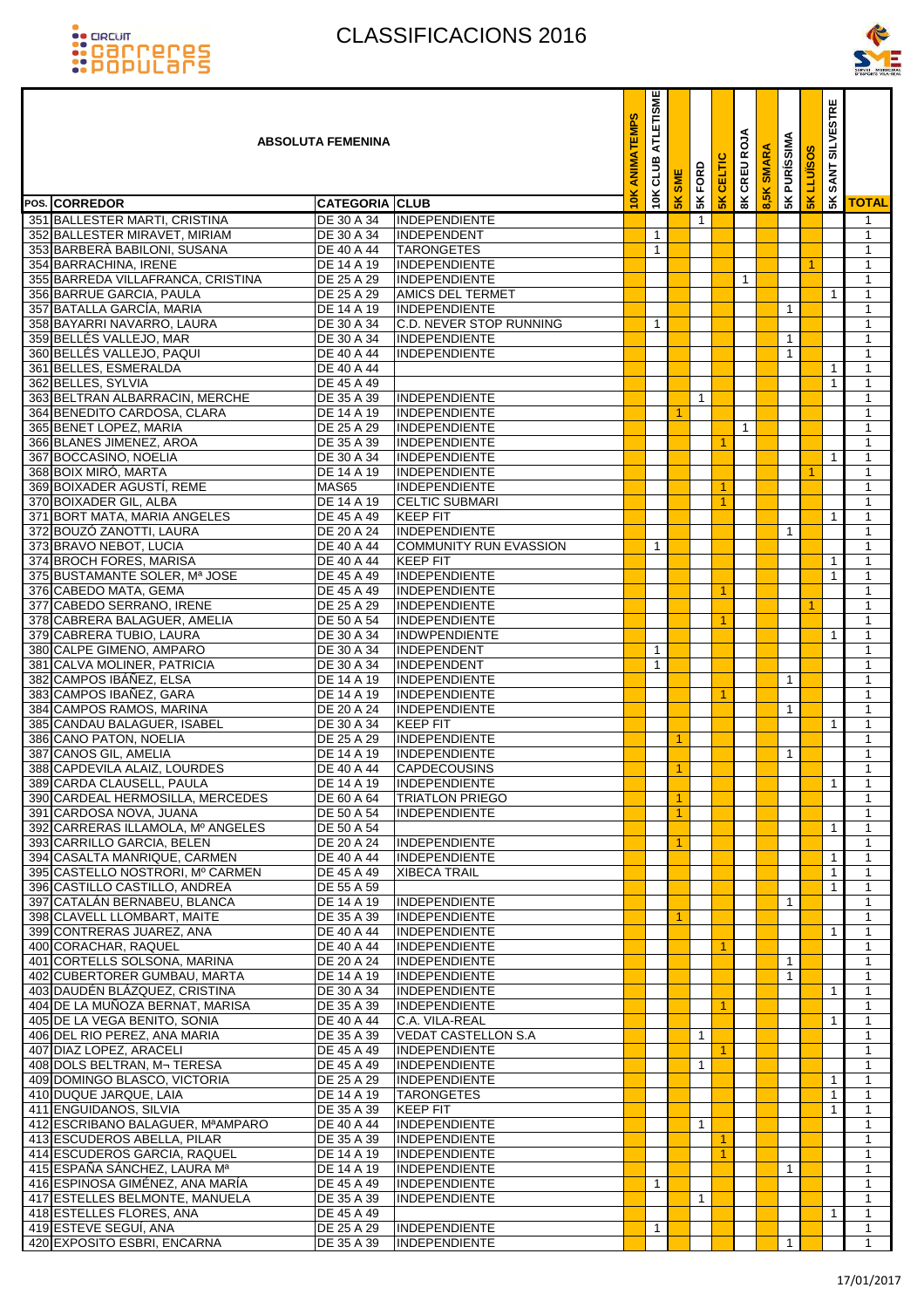



| <b>ABSOLUTA FEMENINA</b><br>POS. CORREDOR<br><b>CATEGORIA</b> CLUB<br><b>INDEPENDIENTE</b><br>351 BALLESTER MARTI, CRISTINA<br>DE 30 A 34<br>352 BALLESTER MIRAVET, MIRIAM<br>DE 30 A 34<br>INDEPENDENT |                          |                                                 | ANIMATEMPS<br>$\frac{1}{2}$ | ATLETISME<br>CLUB<br>10K | <b>SMI</b>    | 5K FORD      | <b>5K CELTIC</b>     | <b>BK CREU ROJA</b> | 8,5K SMARA | <b>5K PURÍSSIMA</b> | <b>SOSINTI</b> | <b>SILVESTRE</b><br><b>SANT</b> |                              |
|---------------------------------------------------------------------------------------------------------------------------------------------------------------------------------------------------------|--------------------------|-------------------------------------------------|-----------------------------|--------------------------|---------------|--------------|----------------------|---------------------|------------|---------------------|----------------|---------------------------------|------------------------------|
|                                                                                                                                                                                                         |                          |                                                 |                             |                          | $\frac{1}{2}$ |              |                      |                     |            |                     | $\frac{1}{2}$  | 5K                              | <b>TOTAL</b>                 |
|                                                                                                                                                                                                         |                          |                                                 |                             | $\mathbf{1}$             |               | $\mathbf{1}$ |                      |                     |            |                     |                |                                 | 1<br>$\mathbf{1}$            |
| 353 BARBERA BABILONI, SUSANA                                                                                                                                                                            | DE 40 A 44               | <b>TARONGETES</b>                               |                             | $\mathbf{1}$             |               |              |                      |                     |            |                     |                |                                 | $\mathbf{1}$                 |
| 354 BARRACHINA, IRENE                                                                                                                                                                                   | DE 14 A 19               | <b>INDEPENDIENTE</b>                            |                             |                          |               |              |                      |                     |            |                     | 1              |                                 | $\mathbf{1}$                 |
| 355 BARREDA VILLAFRANCA, CRISTINA                                                                                                                                                                       | DE 25 A 29               | INDEPENDIENTE                                   |                             |                          |               |              |                      | 1                   |            |                     |                |                                 | $\mathbf{1}$                 |
| 356 BARRUE GARCIA, PAULA                                                                                                                                                                                | DE 25 A 29               | <b>AMICS DEL TERMET</b>                         |                             |                          |               |              |                      |                     |            |                     |                | $\mathbf{1}$                    | $\mathbf{1}$                 |
| 357 BATALLA GARCÍA, MARIA                                                                                                                                                                               | <b>DE 14 A 19</b>        | <b>INDEPENDIENTE</b>                            |                             |                          |               |              |                      |                     |            | $\mathbf{1}$        |                |                                 | $\mathbf{1}$                 |
| 358 BAYARRI NAVARRO, LAURA<br>359 BELLES VALLEJO, MAR                                                                                                                                                   | DE 30 A 34<br>DE 30 A 34 | C.D. NEVER STOP RUNNING<br><b>INDEPENDIENTE</b> |                             | 1                        |               |              |                      |                     |            | 1                   |                |                                 | $\mathbf{1}$<br>$\mathbf{1}$ |
| 360 BELLÉS VALLEJO, PAQUI                                                                                                                                                                               | DE 40 A 44               | <b>INDEPENDIENTE</b>                            |                             |                          |               |              |                      |                     |            | $\mathbf{1}$        |                |                                 | $\mathbf{1}$                 |
| 361 BELLES, ESMERALDA                                                                                                                                                                                   | DE 40 A 44               |                                                 |                             |                          |               |              |                      |                     |            |                     |                | 1                               | $\mathbf{1}$                 |
| 362 BELLES, SYLVIA                                                                                                                                                                                      | <b>DE 45 A 49</b>        |                                                 |                             |                          |               |              |                      |                     |            |                     |                | $\mathbf{1}$                    | $\mathbf{1}$                 |
| 363 BELTRAN ALBARRACIN, MERCHE                                                                                                                                                                          | DE 35 A 39               | INDEPENDIENTE                                   |                             |                          |               | $\mathbf{1}$ |                      |                     |            |                     |                |                                 | 1                            |
| 364 BENEDITO CARDOSA, CLARA                                                                                                                                                                             | DE 14 A 19               | <b>INDEPENDIENTE</b>                            |                             |                          | 1             |              |                      |                     |            |                     |                |                                 | $\mathbf{1}$                 |
| 365 BENET LOPEZ, MARIA<br>366 BLANES JIMENEZ, AROA                                                                                                                                                      | DE 25 A 29<br>DE 35 A 39 | <b>INDEPENDIENTE</b><br><b>INDEPENDIENTE</b>    |                             |                          |               |              |                      | $\mathbf{1}$        |            |                     |                |                                 | $\mathbf{1}$<br>$\mathbf 1$  |
| 367 BOCCASINO, NOELIA                                                                                                                                                                                   | DE 30 A 34               | <b>INDEPENDIENTE</b>                            |                             |                          |               |              | 1                    |                     |            |                     |                | 1                               | $\mathbf{1}$                 |
| 368 BOIX MIRO, MARTA                                                                                                                                                                                    | DE 14 A 19               | <b>INDEPENDIENTE</b>                            |                             |                          |               |              |                      |                     |            |                     |                |                                 | 1                            |
| 369 BOIXADER AGUSTÍ, REME                                                                                                                                                                               | MAS65                    | <b>INDEPENDIENTE</b>                            |                             |                          |               |              | -1                   |                     |            |                     |                |                                 | $\mathbf{1}$                 |
| 370 BOIXADER GIL, ALBA                                                                                                                                                                                  | DE 14 A 19               | <b>CELTIC SUBMARI</b>                           |                             |                          |               |              | -1                   |                     |            |                     |                |                                 | $\mathbf{1}$                 |
| 371 BORT MATA, MARIA ANGELES                                                                                                                                                                            | DE 45 A 49               | <b>KEEP FIT</b>                                 |                             |                          |               |              |                      |                     |            |                     |                | 1                               | $\mathbf{1}$                 |
| 372 BOUZÓ ZANOTTI, LAURA                                                                                                                                                                                | DE 20 A 24               | <b>INDEPENDIENTE</b>                            |                             |                          |               |              |                      |                     |            | 1                   |                |                                 | $\mathbf{1}$                 |
| 373 BRAVO NEBOT, LUCIA<br>374 BROCH FORES, MARISA                                                                                                                                                       | DE 40 A 44<br>DE 40 A 44 | COMMUNITY RUN EVASSION<br><b>KEEP FIT</b>       |                             | $\mathbf{1}$             |               |              |                      |                     |            |                     |                | 1                               | $\mathbf{1}$<br>1            |
| 375 BUSTAMANTE SOLER, Mª JOSE                                                                                                                                                                           | DE 45 A 49               | <b>INDEPENDIENTE</b>                            |                             |                          |               |              |                      |                     |            |                     |                | $\mathbf{1}$                    | $\mathbf{1}$                 |
| 376 CABEDO MATA, GEMA                                                                                                                                                                                   | DE 45 A 49               | <b>INDEPENDIENTE</b>                            |                             |                          |               |              | 1                    |                     |            |                     |                |                                 | $\mathbf{1}$                 |
| 377 CABEDO SERRANO, IRENE                                                                                                                                                                               | DE 25 A 29               | <b>INDEPENDIENTE</b>                            |                             |                          |               |              |                      |                     |            |                     | 1              |                                 | $\mathbf{1}$                 |
| 378 CABRERA BALAGUER, AMELIA                                                                                                                                                                            | DE 50 A 54               | <b>INDEPENDIENTE</b>                            |                             |                          |               |              | 1                    |                     |            |                     |                |                                 | $\mathbf{1}$                 |
| 379 CABRERA TUBIO, LAURA                                                                                                                                                                                | DE 30 A 34               | <b>INDWPENDIENTE</b>                            |                             |                          |               |              |                      |                     |            |                     |                | 1                               | $\mathbf{1}$                 |
| 380 CALPE GIMENO, AMPARO<br>381 CALVA MOLINER, PATRICIA                                                                                                                                                 | DE 30 A 34<br>DE 30 A 34 | INDEPENDENT<br>INDEPENDENT                      |                             | 1<br>$\mathbf{1}$        |               |              |                      |                     |            |                     |                |                                 | $\mathbf{1}$<br>$\mathbf{1}$ |
| 382 CAMPOS IBÁÑEZ, ELSA                                                                                                                                                                                 | <b>DE 14 A 19</b>        | <b>INDEPENDIENTE</b>                            |                             |                          |               |              |                      |                     |            | $\mathbf{1}$        |                |                                 | $\mathbf{1}$                 |
| 383 CAMPOS IBAÑEZ, GARA                                                                                                                                                                                 | DE 14 A 19               | <b>INDEPENDIENTE</b>                            |                             |                          |               |              | 1                    |                     |            |                     |                |                                 | $\mathbf{1}$                 |
| 384 CAMPOS RAMOS, MARINA                                                                                                                                                                                | DE 20 A 24               | <b>INDEPENDIENTE</b>                            |                             |                          |               |              |                      |                     |            | $\mathbf{1}$        |                |                                 | $\mathbf{1}$                 |
| 385 CANDAU BALAGUER, ISABEL                                                                                                                                                                             | DE 30 A 34               | <b>KEEP FIT</b>                                 |                             |                          |               |              |                      |                     |            |                     |                | 1                               | 1                            |
| 386 CANO PATON, NOELIA                                                                                                                                                                                  | DE 25 A 29               | <b>INDEPENDIENTE</b><br><b>INDEPENDIENTE</b>    |                             |                          | 1             |              |                      |                     |            |                     |                |                                 | $\mathbf{1}$                 |
| 387 CANOS GIL, AMELIA<br>388 CAPDEVILA ALAIZ, LOURDES                                                                                                                                                   | DE 14 A 19<br>DE 40 A 44 | <b>CAPDECOUSINS</b>                             |                             |                          | $\mathbf{1}$  |              |                      |                     |            | $\mathbf{1}$        |                |                                 | $\mathbf{1}$<br>$\mathbf{1}$ |
| 389 CARDA CLAUSELL, PAULA                                                                                                                                                                               | DE 14 A 19               | <b>INDEPENDIENTE</b>                            |                             |                          |               |              |                      |                     |            |                     |                | $\mathbf{1}$                    | $\overline{1}$               |
| 390 CARDEAL HERMOSILLA, MERCEDES                                                                                                                                                                        | DE 60 A 64               | <b>TRIATLON PRIEGO</b>                          |                             |                          | $\mathbf{1}$  |              |                      |                     |            |                     |                |                                 | $\mathbf{1}$                 |
| 391 CARDOSA NOVA, JUANA                                                                                                                                                                                 | DE 50 A 54               | <b>INDEPENDIENTE</b>                            |                             |                          | 1             |              |                      |                     |            |                     |                |                                 | $\mathbf{1}$                 |
| 392 CARRERAS ILLAMOLA, Mº ANGELES                                                                                                                                                                       | DE 50 A 54               |                                                 |                             |                          |               |              |                      |                     |            |                     |                | $\mathbf{1}$                    | $\mathbf{1}$                 |
| 393 CARRILLO GARCIA, BELEN<br>394 CASALTA MANRIQUE, CARMEN                                                                                                                                              | DE 20 A 24<br>DE 40 A 44 | <b>INDEPENDIENTE</b><br><b>INDEPENDIENTE</b>    |                             |                          | 1             |              |                      |                     |            |                     |                | 1                               | $\mathbf{1}$<br>$\mathbf{1}$ |
| 395 CASTELLO NOSTRORI, Mº CARMEN                                                                                                                                                                        | DE 45 A 49               | <b>XIBECA TRAIL</b>                             |                             |                          |               |              |                      |                     |            |                     |                | $\mathbf{1}$                    | $\mathbf{1}$                 |
| 396 CASTILLO CASTILLO, ANDREA                                                                                                                                                                           | DE 55 A 59               |                                                 |                             |                          |               |              |                      |                     |            |                     |                |                                 | $\mathbf{1}$                 |
| 397 CATALAN BERNABEU, BLANCA                                                                                                                                                                            | DE 14 A 19               | <b>INDEPENDIENTE</b>                            |                             |                          |               |              |                      |                     |            | 1                   |                |                                 | $\mathbf{1}$                 |
| 398 CLAVELL LLOMBART, MAITE                                                                                                                                                                             | DE 35 A 39               | <b>INDEPENDIENTE</b>                            |                             |                          |               |              |                      |                     |            |                     |                |                                 | 1                            |
| 399 CONTRERAS JUAREZ, ANA<br>400 CORACHAR, RAQUEL                                                                                                                                                       | DE 40 A 44<br>DE 40 A 44 | <b>INDEPENDIENTE</b><br><b>INDEPENDIENTE</b>    |                             |                          |               |              |                      |                     |            |                     |                | $\mathbf 1$                     | $\mathbf{1}$<br>$\mathbf{1}$ |
| 401 CORTELLS SOLSONA, MARINA                                                                                                                                                                            | DE 20 A 24               | INDEPENDIENTE                                   |                             |                          |               |              | -1                   |                     |            | 1                   |                |                                 | $\mathbf{1}$                 |
| 402 CUBERTORER GUMBAU, MARTA                                                                                                                                                                            | DE 14 A 19               | INDEPENDIENTE                                   |                             |                          |               |              |                      |                     |            | $\mathbf{1}$        |                |                                 | $\mathbf{1}$                 |
| 403 DAUDÉN BLÁZQUEZ, CRISTINA                                                                                                                                                                           | DE 30 A 34               | INDEPENDIENTE                                   |                             |                          |               |              |                      |                     |            |                     |                | 1                               | $\mathbf{1}$                 |
| 404 DE LA MUÑOZA BERNAT, MARISA                                                                                                                                                                         | DE 35 A 39               | <b>INDEPENDIENTE</b>                            |                             |                          |               |              | $\blacktriangleleft$ |                     |            |                     |                |                                 | $\mathbf{1}$                 |
| 405 DE LA VEGA BENITO, SONIA                                                                                                                                                                            | DE 40 A 44               | C.A. VILA-REAL                                  |                             |                          |               |              |                      |                     |            |                     |                | 1                               | 1                            |
| 406 DEL RIO PEREZ, ANA MARIA                                                                                                                                                                            | DE 35 A 39               | <b>VEDAT CASTELLON S.A</b>                      |                             |                          |               | $\mathbf 1$  |                      |                     |            |                     |                |                                 | $\mathbf{1}$                 |
| 407 DIAZ LOPEZ, ARACELI<br>408 DOLS BELTRAN, M- TERESA                                                                                                                                                  | DE 45 A 49<br>DE 45 A 49 | <b>INDEPENDIENTE</b><br><b>INDEPENDIENTE</b>    |                             |                          |               | $\mathbf{1}$ | $\blacktriangleleft$ |                     |            |                     |                |                                 | $\mathbf{1}$<br>$\mathbf{1}$ |
| 409 DOMINGO BLASCO, VICTORIA                                                                                                                                                                            | DE 25 A 29               | <b>INDEPENDIENTE</b>                            |                             |                          |               |              |                      |                     |            |                     |                | 1                               | $\mathbf{1}$                 |
| 410 DUQUE JARQUE, LAIA                                                                                                                                                                                  | DE 14 A 19               | <b>TARONGETES</b>                               |                             |                          |               |              |                      |                     |            |                     |                | 1                               | $\mathbf{1}$                 |
| 411 ENGUIDANOS, SILVIA                                                                                                                                                                                  | DE 35 A 39               | <b>KEEP FIT</b>                                 |                             |                          |               |              |                      |                     |            |                     |                | 1                               | $\mathbf{1}$                 |
| 412 ESCRIBANO BALAGUER, MªAMPARO                                                                                                                                                                        | DE 40 A 44               | INDEPENDIENTE                                   |                             |                          |               | $\mathbf{1}$ |                      |                     |            |                     |                |                                 | $\mathbf{1}$                 |
| 413 ESCUDEROS ABELLA, PILAR                                                                                                                                                                             | DE 35 A 39               | <b>INDEPENDIENTE</b>                            |                             |                          |               |              |                      |                     |            |                     |                |                                 | $\mathbf{1}$                 |
| 414 ESCUDEROS GARCIA, RAQUEL<br>415 ESPAÑA SÁNCHEZ, LAURA Mª                                                                                                                                            | DE 14 A 19<br>DE 14 A 19 | INDEPENDIENTE<br>INDEPENDIENTE                  |                             |                          |               |              | $\blacktriangleleft$ |                     |            | 1                   |                |                                 | $\mathbf{1}$<br>$\mathbf{1}$ |
| 416 ESPINOSA GIMÉNEZ, ANA MARÍA                                                                                                                                                                         | DE 45 A 49               | <b>INDEPENDIENTE</b>                            |                             | $\mathbf{1}$             |               |              |                      |                     |            |                     |                |                                 | $\mathbf{1}$                 |
| 417 ESTELLES BELMONTE, MANUELA                                                                                                                                                                          | DE 35 A 39               | <b>INDEPENDIENTE</b>                            |                             |                          |               | $\mathbf{1}$ |                      |                     |            |                     |                |                                 | $\mathbf{1}$                 |
| 418 ESTELLES FLORES, ANA                                                                                                                                                                                | DE 45 A 49               |                                                 |                             |                          |               |              |                      |                     |            |                     |                |                                 | $\mathbf{1}$                 |
| 419 ESTEVE SEGUÍ, ANA                                                                                                                                                                                   | DE 25 A 29               | INDEPENDIENTE                                   |                             | 1                        |               |              |                      |                     |            |                     |                |                                 | $\mathbf{1}$                 |
| 420 EXPOSITO ESBRI, ENCARNA                                                                                                                                                                             | DE 35 A 39               | <b>INDEPENDIENTE</b>                            |                             |                          |               |              |                      |                     |            | 1                   |                |                                 | $\mathbf{1}$                 |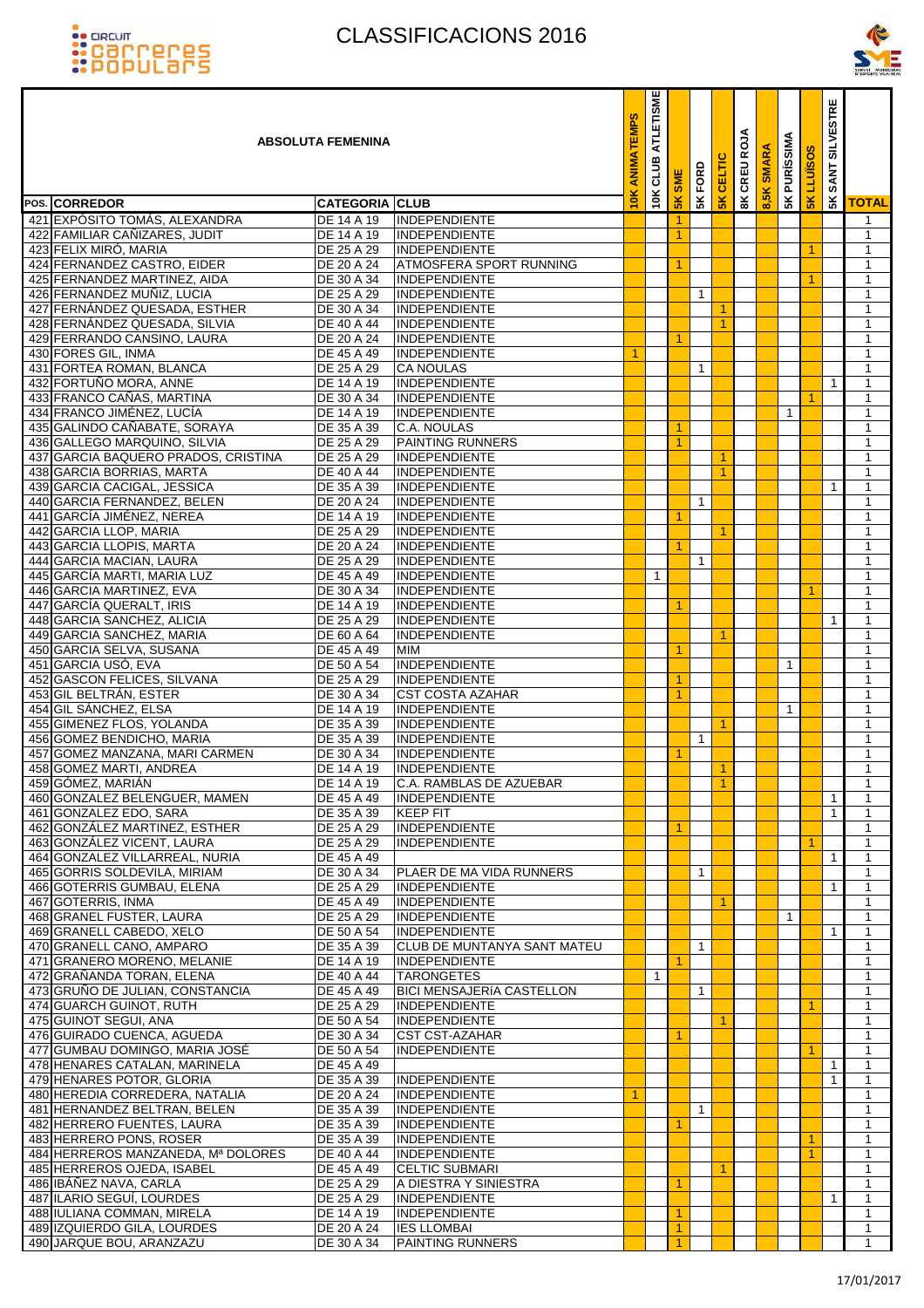



|                                                                     | <b>ABSOLUTA FEMENINA</b><br><b>CATEGORIA CLUB</b><br>421 EXPÓSITO TOMÁS, ALEXANDRA<br><b>INDEPENDIENTE</b><br>DE 14 A 19<br>422 FAMILIAR CAÑIZARES, JUDIT<br>DE 14 A 19<br>INDEPENDIENTE |                                                            |                | ATLETISME<br>crnB<br>10K | ш<br><b>SMI</b> | <b>SK FORD</b> | CELTIC                                       | <b>ROJA</b><br>8K CREU | <b>SMARA</b><br>8,5K | <b>PURÍSSIMA</b> | S<br><u>uïso</u> | <b>SILVESTRE</b><br><b>SANT</b> |                               |
|---------------------------------------------------------------------|------------------------------------------------------------------------------------------------------------------------------------------------------------------------------------------|------------------------------------------------------------|----------------|--------------------------|-----------------|----------------|----------------------------------------------|------------------------|----------------------|------------------|------------------|---------------------------------|-------------------------------|
| <b>POS. CORREDOR</b>                                                |                                                                                                                                                                                          |                                                            | $\frac{1}{2}$  |                          | $\frac{1}{5}$   |                | $\frac{1}{2}$                                |                        |                      | 5K               | $\frac{1}{5}$    | $\frac{1}{2}$                   | <b>TOTAL</b>                  |
|                                                                     |                                                                                                                                                                                          |                                                            |                |                          | 1               |                |                                              |                        |                      |                  |                  |                                 | $\mathbf{1}$                  |
| 423 FELIX MIRÓ, MARIA                                               | DE 25 A 29                                                                                                                                                                               | <b>INDEPENDIENTE</b>                                       |                |                          | 1               |                |                                              |                        |                      |                  | 1                |                                 | $\mathbf{1}$<br>$\mathbf{1}$  |
| 424 FERNANDEZ CASTRO, EIDER                                         | DE 20 A 24                                                                                                                                                                               | ATMOSFERA SPORT RUNNING                                    |                |                          | 1               |                |                                              |                        |                      |                  |                  |                                 | $\mathbf 1$                   |
| 425 FERNANDEZ MARTINEZ, AIDA                                        | DE 30 A 34                                                                                                                                                                               | INDEPENDIENTE                                              |                |                          |                 |                |                                              |                        |                      |                  |                  |                                 | $\mathbf{1}$                  |
| 426 FERNANDEZ MUNIZ, LUCIA                                          | DE 25 A 29                                                                                                                                                                               | <b>INDEPENDIENTE</b>                                       |                |                          |                 | 1              |                                              |                        |                      |                  |                  |                                 | $\mathbf{1}$                  |
| 427 FERNÁNDEZ QUESADA, ESTHER                                       | DE 30 A 34                                                                                                                                                                               | <b>INDEPENDIENTE</b>                                       |                |                          |                 |                | -1                                           |                        |                      |                  |                  |                                 | $\mathbf{1}$                  |
| 428 FERNÁNDEZ QUESADA, SILVIA                                       | DE 40 A 44                                                                                                                                                                               | <b>INDEPENDIENTE</b>                                       |                |                          |                 |                | $\mathbf{1}$                                 |                        |                      |                  |                  |                                 | $\mathbf{1}$                  |
| 429 FERRANDO CANSINO, LAURA<br>430 FORES GIL, INMA                  | DE 20 A 24<br>DE 45 A 49                                                                                                                                                                 | <b>INDEPENDIENTE</b><br><b>INDEPENDIENTE</b>               | $\overline{1}$ |                          | 1               |                |                                              |                        |                      |                  |                  |                                 | 1<br>$\mathbf{1}$             |
| 431 FORTEA ROMAN, BLANCA                                            | DE 25 A 29                                                                                                                                                                               | <b>CA NOULAS</b>                                           |                |                          |                 | 1              |                                              |                        |                      |                  |                  |                                 | $\mathbf 1$                   |
| 432 FORTUÑO MORA, ANNE                                              | DE 14 A 19                                                                                                                                                                               | <b>INDEPENDIENTE</b>                                       |                |                          |                 |                |                                              |                        |                      |                  |                  | $\mathbf{1}$                    | $\mathbf{1}$                  |
| 433 FRANCO CAÑAS, MARTINA                                           | DE 30 A 34                                                                                                                                                                               | <b>INDEPENDIENTE</b>                                       |                |                          |                 |                |                                              |                        |                      |                  |                  |                                 | $\mathbf{1}$                  |
| 434 FRANCO JIMÉNEZ, LUCÍA                                           | DE 14 A 19                                                                                                                                                                               | INDEPENDIENTE                                              |                |                          |                 |                |                                              |                        |                      | $\mathbf{1}$     |                  |                                 | 1                             |
| 435 GALINDO CAÑABATE, SORAYA                                        | DE 35 A 39                                                                                                                                                                               | <b>C.A. NOULAS</b>                                         |                |                          | 1               |                |                                              |                        |                      |                  |                  |                                 | $\mathbf{1}$                  |
| 436 GALLEGO MARQUINO, SILVIA<br>437 GARCIA BAQUERO PRADOS, CRISTINA | DE 25 A 29<br>DE 25 A 29                                                                                                                                                                 | <b>PAINTING RUNNERS</b><br><b>INDEPENDIENTE</b>            |                |                          | 1               |                | -1                                           |                        |                      |                  |                  |                                 | $\mathbf 1$<br>$\mathbf{1}$   |
| 438 GARCIA BORRIAS, MARTA                                           | DE 40 A 44                                                                                                                                                                               | <b>INDEPENDIENTE</b>                                       |                |                          |                 |                | $\mathbf{1}$                                 |                        |                      |                  |                  |                                 | 1                             |
| 439 GARCIA CACIGAL, JESSICA                                         | DE 35 A 39                                                                                                                                                                               | INDEPENDIENTE                                              |                |                          |                 |                |                                              |                        |                      |                  |                  | 1                               | 1                             |
| 440 GARCIA FERNANDEZ, BELEN                                         | DE 20 A 24                                                                                                                                                                               | <b>INDEPENDIENTE</b>                                       |                |                          |                 | $\mathbf{1}$   |                                              |                        |                      |                  |                  |                                 | $\mathbf{1}$                  |
| 441 GARCÍA JIMÉNEZ, NEREA                                           | DE 14 A 19                                                                                                                                                                               | <b>INDEPENDIENTE</b>                                       |                |                          | 1               |                |                                              |                        |                      |                  |                  |                                 | $\mathbf 1$                   |
| 442 GARCIA LLOP, MARIA                                              | DE 25 A 29                                                                                                                                                                               | <b>INDEPENDIENTE</b>                                       |                |                          |                 |                | -1                                           |                        |                      |                  |                  |                                 | $\mathbf{1}$                  |
| 443 GARCIA LLOPIS, MARTA                                            | DE 20 A 24                                                                                                                                                                               | <b>INDEPENDIENTE</b>                                       |                |                          | 1               |                |                                              |                        |                      |                  |                  |                                 | $\mathbf 1$<br>$\mathbf{1}$   |
| 444 GARCIA MACIAN, LAURA<br>445 GARCÍA MARTI, MARIA LUZ             | DE 25 A 29<br>DE 45 A 49                                                                                                                                                                 | INDEPENDIENTE<br><b>INDEPENDIENTE</b>                      |                | $\mathbf{1}$             |                 | 1              |                                              |                        |                      |                  |                  |                                 | $\mathbf{1}$                  |
| 446 GARCIA MARTINEZ, EVA                                            | DE 30 A 34                                                                                                                                                                               | <b>INDEPENDIENTE</b>                                       |                |                          |                 |                |                                              |                        |                      |                  |                  |                                 | 1                             |
| 447 GARCÍA QUERALT, IRIS                                            | DE 14 A 19                                                                                                                                                                               | INDEPENDIENTE                                              |                |                          |                 |                |                                              |                        |                      |                  |                  |                                 | $\mathbf{1}$                  |
| 448 GARCIA SANCHEZ, ALICIA                                          | DE 25 A 29                                                                                                                                                                               | <b>INDEPENDIENTE</b>                                       |                |                          |                 |                |                                              |                        |                      |                  |                  | $\mathbf{1}$                    | $\mathbf 1$                   |
| 449 GARCIA SANCHEZ, MARIA                                           | DE 60 A 64                                                                                                                                                                               | <b>INDEPENDIENTE</b>                                       |                |                          |                 |                | -1                                           |                        |                      |                  |                  |                                 | $\mathbf 1$                   |
| 450 GARCIA SELVA, SUSANA                                            | DE 45 A 49                                                                                                                                                                               | <b>MIM</b><br><b>INDEPENDIENTE</b>                         |                |                          | 1               |                |                                              |                        |                      |                  |                  |                                 | $\mathbf{1}$                  |
| 451 GARCIA USO, EVA<br>452 GASCON FELICES, SILVANA                  | DE 50 A 54<br>DE 25 A 29                                                                                                                                                                 | <b>INDEPENDIENTE</b>                                       |                |                          | 1               |                |                                              |                        |                      | $\mathbf{1}$     |                  |                                 | $\mathbf 1$<br>$\mathbf{1}$   |
| 453 GIL BELTRÁN, ESTER                                              | DE 30 A 34                                                                                                                                                                               | <b>CST COSTA AZAHAR</b>                                    |                |                          | 1               |                |                                              |                        |                      |                  |                  |                                 | -1                            |
| 454 GIL SÁNCHEZ, ELSA                                               | DE 14 A 19                                                                                                                                                                               | <b>INDEPENDIENTE</b>                                       |                |                          |                 |                |                                              |                        |                      | $\mathbf{1}$     |                  |                                 | $\mathbf{1}$                  |
| 455 GIMENEZ FLOS, YOLANDA                                           | DE 35 A 39                                                                                                                                                                               | <b>INDEPENDIENTE</b>                                       |                |                          |                 |                | 1                                            |                        |                      |                  |                  |                                 | $\mathbf{1}$                  |
| 456 GOMEZ BENDICHO, MARIA                                           | DE 35 A 39                                                                                                                                                                               | <b>INDEPENDIENTE</b>                                       |                |                          |                 | $\mathbf{1}$   |                                              |                        |                      |                  |                  |                                 | $\mathbf 1$                   |
| 457 GOMEZ MANZANA, MARI CARMEN                                      | DE 30 A 34                                                                                                                                                                               | <b>INDEPENDIENTE</b>                                       |                |                          | 1               |                |                                              |                        |                      |                  |                  |                                 | $\mathbf 1$                   |
| 458 GOMEZ MARTI, ANDREA<br>459 GÓMEZ, MARIÁN                        | DE 14 A 19                                                                                                                                                                               | <b>INDEPENDIENTE</b><br>DE 14 A 19 C.A. RAMBLAS DE AZUEBAR |                |                          |                 |                | $\blacktriangleleft$<br>$\blacktriangleleft$ |                        |                      |                  |                  |                                 | $\mathbf 1$<br>$\overline{1}$ |
| 460 GONZALEZ BELENGUER, MAMEN                                       | <b>DE 45 A 49</b>                                                                                                                                                                        | <b>INDEPENDIENTE</b>                                       |                |                          |                 |                |                                              |                        |                      |                  |                  | $\mathbf{1}$                    | $\mathbf{1}$                  |
| 461 GONZALEZ EDO, SARA                                              | DE 35 A 39                                                                                                                                                                               | <b>KEEP FIT</b>                                            |                |                          |                 |                |                                              |                        |                      |                  |                  |                                 |                               |
| 462 GONZÁLEZ MARTINEZ, ESTHER                                       | DE 25 A 29                                                                                                                                                                               | INDEPENDIENTE                                              |                |                          | $\mathbf{1}$    |                |                                              |                        |                      |                  |                  |                                 | $\mathbf{1}$                  |
| 463 GONZÁLEZ VICENT, LAURA                                          | DE 25 A 29                                                                                                                                                                               | <b>INDEPENDIENTE</b>                                       |                |                          |                 |                |                                              |                        |                      |                  |                  |                                 | 1                             |
| 464 GONZALEZ VILLARREAL, NURIA<br>465 GORRIS SOLDEVILA, MIRIAM      | DE 45 A 49                                                                                                                                                                               |                                                            |                |                          |                 |                |                                              |                        |                      |                  |                  | 1                               | $\mathbf{1}$                  |
| 466 GOTERRIS GUMBAU, ELENA                                          | DE 30 A 34<br>DE 25 A 29                                                                                                                                                                 | <b>PLAER DE MA VIDA RUNNERS</b><br><b>INDEPENDIENTE</b>    |                |                          |                 | 1              |                                              |                        |                      |                  |                  |                                 | 1<br>$\mathbf 1$              |
| 467 GOTERRIS, INMA                                                  | DE 45 A 49                                                                                                                                                                               | INDEPENDIENTE                                              |                |                          |                 |                | $\mathbf{1}$                                 |                        |                      |                  |                  |                                 | $\mathbf{1}$                  |
| 468 GRANEL FUSTER, LAURA                                            | DE 25 A 29                                                                                                                                                                               | INDEPENDIENTE                                              |                |                          |                 |                |                                              |                        |                      | $\mathbf{1}$     |                  |                                 | 1                             |
| 469 GRANELL CABEDO, XELO                                            | DE 50 A 54                                                                                                                                                                               | <b>INDEPENDIENTE</b>                                       |                |                          |                 |                |                                              |                        |                      |                  |                  | 1                               | $\mathbf{1}$                  |
| 470 GRANELL CANO, AMPARO                                            | DE 35 A 39                                                                                                                                                                               | CLUB DE MUNTANYA SANT MATEU                                |                |                          |                 | $\mathbf{1}$   |                                              |                        |                      |                  |                  |                                 | $\mathbf{1}$                  |
| 471 GRANERO MORENO, MELANIE<br>472 GRAÑANDA TORAN, ELENA            | DE 14 A 19<br>DE 40 A 44                                                                                                                                                                 | <b>INDEPENDIENTE</b><br><b>TARONGETES</b>                  |                | $\mathbf{1}$             |                 |                |                                              |                        |                      |                  |                  |                                 | $\mathbf{1}$<br>$\mathbf{1}$  |
| 473 GRUÑO DE JULIAN, CONSTANCIA                                     | DE 45 A 49                                                                                                                                                                               | <b>BICI MENSAJERÍA CASTELLON</b>                           |                |                          |                 | 1              |                                              |                        |                      |                  |                  |                                 | 1                             |
| 474 GUARCH GUINOT, RUTH                                             | DE 25 A 29                                                                                                                                                                               | <b>INDEPENDIENTE</b>                                       |                |                          |                 |                |                                              |                        |                      |                  |                  |                                 | $\mathbf{1}$                  |
| 475 GUINOT SEGUI, ANA                                               | DE 50 A 54                                                                                                                                                                               | <b>INDEPENDIENTE</b>                                       |                |                          |                 |                | 1                                            |                        |                      |                  |                  |                                 | 1                             |
| 476 GUIRADO CUENCA, AGUEDA                                          | DE 30 A 34                                                                                                                                                                               | <b>CST CST-AZAHAR</b>                                      |                |                          |                 |                |                                              |                        |                      |                  |                  |                                 | $\mathbf{1}$                  |
| 477 GUMBAU DOMINGO, MARIA JOSÉ                                      | DE 50 A 54                                                                                                                                                                               | <b>INDEPENDIENTE</b>                                       |                |                          |                 |                |                                              |                        |                      |                  |                  |                                 | $\mathbf{1}$                  |
| 478 HENARES CATALAN, MARINELA<br>479 HENARES POTOR, GLORIA          | DE 45 A 49<br>DE 35 A 39                                                                                                                                                                 | <b>INDEPENDIENTE</b>                                       |                |                          |                 |                |                                              |                        |                      |                  |                  | -1<br>$\mathbf{1}$              | 1<br>$\mathbf{1}$             |
| 480 HEREDIA CORREDERA, NATALIA                                      | DE 20 A 24                                                                                                                                                                               | <b>INDEPENDIENTE</b>                                       | $\mathbf{1}$   |                          |                 |                |                                              |                        |                      |                  |                  |                                 | 1                             |
| 481 HERNANDEZ BELTRAN, BELEN                                        | DE 35 A 39                                                                                                                                                                               | <b>INDEPENDIENTE</b>                                       |                |                          |                 | $\mathbf{1}$   |                                              |                        |                      |                  |                  |                                 | $\mathbf{1}$                  |
| 482 HERRERO FUENTES, LAURA                                          | DE 35 A 39                                                                                                                                                                               | <b>INDEPENDIENTE</b>                                       |                |                          | 1               |                |                                              |                        |                      |                  |                  |                                 | $\mathbf{1}$                  |
| 483 HERRERO PONS, ROSER                                             | DE 35 A 39                                                                                                                                                                               | INDEPENDIENTE                                              |                |                          |                 |                |                                              |                        |                      |                  |                  |                                 | 1                             |
| 484 HERREROS MANZANEDA, Mª DOLORES                                  | DE 40 A 44                                                                                                                                                                               | INDEPENDIENTE                                              |                |                          |                 |                |                                              |                        |                      |                  | 1                |                                 | $\mathbf{1}$                  |
| 485 HERREROS OJEDA, ISABEL<br>486 IBÁÑEZ NAVA, CARLA                | DE 45 A 49<br>DE 25 A 29                                                                                                                                                                 | <b>CELTIC SUBMARI</b><br><b>A DIESTRA Y SINIESTRA</b>      |                |                          | 1               |                | 1                                            |                        |                      |                  |                  |                                 | 1<br>$\mathbf{1}$             |
| 487 ILARIO SEGUI, LOURDES                                           | DE 25 A 29                                                                                                                                                                               | INDEPENDIENTE                                              |                |                          |                 |                |                                              |                        |                      |                  |                  | $\mathbf{1}$                    | $\mathbf{1}$                  |
| 488 IULIANA COMMAN, MIRELA                                          | DE 14 A 19                                                                                                                                                                               | INDEPENDIENTE                                              |                |                          | 1               |                |                                              |                        |                      |                  |                  |                                 | $\mathbf{1}$                  |
| 489 IZQUIERDO GILA, LOURDES                                         | DE 20 A 24                                                                                                                                                                               | <b>IES LLOMBAI</b>                                         |                |                          | 1               |                |                                              |                        |                      |                  |                  |                                 | $\mathbf{1}$                  |
| 490 JARQUE BOU, ARANZAZU                                            | DE 30 A 34                                                                                                                                                                               | <b>PAINTING RUNNERS</b>                                    |                |                          | 1               |                |                                              |                        |                      |                  |                  |                                 | 1                             |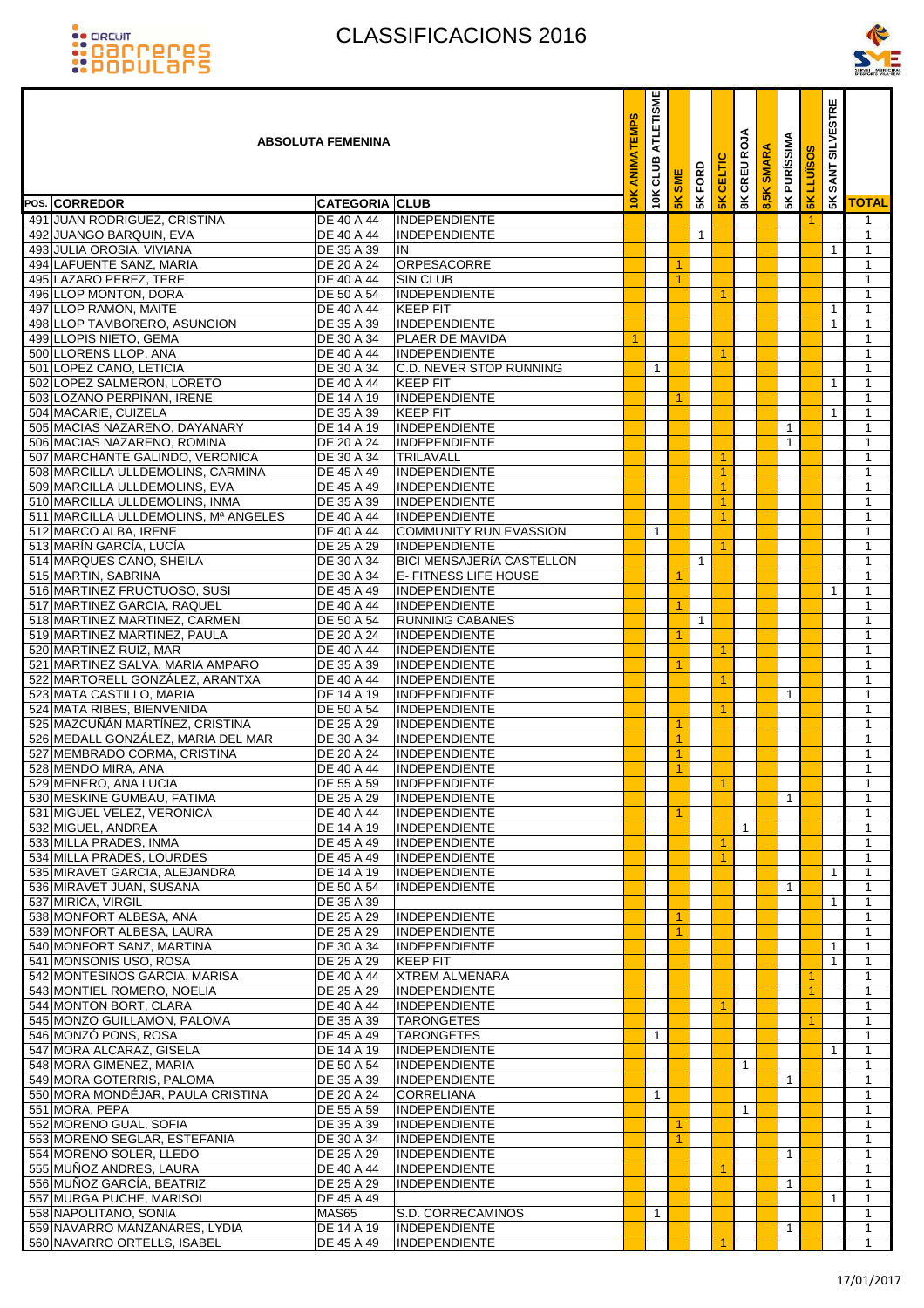



|                                                                    | <b>ABSOLUTA FEMENINA</b><br>POS. CORREDOR<br><b>CATEGORIA CLUB</b><br>491 JUAN RODRIGUEZ, CRISTINA<br><b>INDEPENDIENTE</b><br>DE 40 A 44<br>492 JUANGO BARQUIN, EVA<br>DE 40 A 44<br><b>INDEPENDIENTE</b> |                                                       |     | ATLETISME<br>CLUB<br>10K | SME<br>$\frac{1}{2}$ | <b>SK FORD</b> | <b>5K CELTIC</b>     | 8K CREU ROJA | 8,5K SMARA | <b>5K PURÍSSIMA</b> | <b>LLUISOS</b><br>$\frac{1}{2}$ | <b>SILVESTRE</b><br>SANT:<br>5K |                              |
|--------------------------------------------------------------------|-----------------------------------------------------------------------------------------------------------------------------------------------------------------------------------------------------------|-------------------------------------------------------|-----|--------------------------|----------------------|----------------|----------------------|--------------|------------|---------------------|---------------------------------|---------------------------------|------------------------------|
|                                                                    |                                                                                                                                                                                                           |                                                       | 10K |                          |                      |                |                      |              |            |                     |                                 |                                 | <b>TOTAL</b>                 |
|                                                                    |                                                                                                                                                                                                           |                                                       |     |                          |                      | $\overline{1}$ |                      |              |            |                     | 1                               |                                 | $\mathbf{1}$<br>$\mathbf{1}$ |
| 493 JULIA OROSIA, VIVIANA                                          | DE 35 A 39                                                                                                                                                                                                | IN                                                    |     |                          |                      |                |                      |              |            |                     |                                 | 1                               | $\mathbf{1}$                 |
| 494 LAFUENTE SANZ, MARIA                                           | DE 20 A 24                                                                                                                                                                                                | ORPESACORRE                                           |     |                          | 1                    |                |                      |              |            |                     |                                 |                                 | $\mathbf{1}$                 |
| 495 LAZARO PEREZ, TERE                                             | DE 40 A 44                                                                                                                                                                                                | <b>SIN CLUB</b>                                       |     |                          |                      |                |                      |              |            |                     |                                 |                                 | $\mathbf{1}$                 |
| 496 LLOP MONTON, DORA                                              | DE 50 A 54                                                                                                                                                                                                | <b>INDEPENDIENTE</b>                                  |     |                          |                      |                | 1                    |              |            |                     |                                 |                                 | 1                            |
| 497 LLOP RAMON, MAITE                                              | DE 40 A 44                                                                                                                                                                                                | <b>KEEP FIT</b>                                       |     |                          |                      |                |                      |              |            |                     |                                 | 1                               | $\mathbf{1}$                 |
| 498 LLOP TAMBORERO, ASUNCION<br>499 LLOPIS NIETO, GEMA             | DE 35 A 39<br>DE 30 A 34                                                                                                                                                                                  | INDEPENDIENTE<br><b>PLAER DE MAVIDA</b>               |     |                          |                      |                |                      |              |            |                     |                                 | 1                               | $\mathbf{1}$<br>$\mathbf 1$  |
| 500 LLORENS LLOP, ANA                                              | DE 40 A 44                                                                                                                                                                                                | <b>INDEPENDIENTE</b>                                  |     |                          |                      |                | -1                   |              |            |                     |                                 |                                 | $\mathbf{1}$                 |
| 501 LOPEZ CANO, LETICIA                                            | DE 30 A 34                                                                                                                                                                                                | C.D. NEVER STOP RUNNING                               |     | $\mathbf{1}$             |                      |                |                      |              |            |                     |                                 |                                 | $\mathbf{1}$                 |
| 502 LOPEZ SALMERON, LORETO                                         | DE 40 A 44                                                                                                                                                                                                | <b>KEEP FIT</b>                                       |     |                          |                      |                |                      |              |            |                     |                                 | 1                               | $\mathbf{1}$                 |
| 503 LOZANO PERPIÑAN, IRENE                                         | <b>DE 14 A 19</b>                                                                                                                                                                                         | <b>INDEPENDIENTE</b>                                  |     |                          | 1                    |                |                      |              |            |                     |                                 |                                 | $\mathbf{1}$                 |
| 504 MACARIE, CUIZELA                                               | DE 35 A 39                                                                                                                                                                                                | <b>KEEP FIT</b>                                       |     |                          |                      |                |                      |              |            |                     |                                 | 1                               | $\mathbf{1}$                 |
| 505 MACIAS NAZARENO, DAYANARY<br>506 MACIAS NAZARENO, ROMINA       | <b>DE 14 A 19</b><br>DE 20 A 24                                                                                                                                                                           | <b>INDEPENDIENTE</b><br><b>INDEPENDIENTE</b>          |     |                          |                      |                |                      |              |            | 1<br>$\mathbf{1}$   |                                 |                                 | $\mathbf{1}$<br>$\mathbf{1}$ |
| 507 MARCHANTE GALINDO, VERONICA                                    | DE 30 A 34                                                                                                                                                                                                | <b>TRILAVALL</b>                                      |     |                          |                      |                | 1                    |              |            |                     |                                 |                                 | 1                            |
| 508 MARCILLA ULLDEMOLINS, CARMINA                                  | DE 45 A 49                                                                                                                                                                                                | INDEPENDIENTE                                         |     |                          |                      |                | -1                   |              |            |                     |                                 |                                 | $\mathbf{1}$                 |
| 509 MARCILLA ULLDEMOLINS, EVA                                      | DE 45 A 49                                                                                                                                                                                                | <b>INDEPENDIENTE</b>                                  |     |                          |                      |                | $\blacktriangleleft$ |              |            |                     |                                 |                                 | $\mathbf{1}$                 |
| 510 MARCILLA ULLDEMOLINS, INMA                                     | DE 35 A 39                                                                                                                                                                                                | <b>INDEPENDIENTE</b>                                  |     |                          |                      |                | 1                    |              |            |                     |                                 |                                 | $\mathbf 1$                  |
| 511 MARCILLA ULLDEMOLINS, Mª ANGELES                               | DE 40 A 44                                                                                                                                                                                                | <b>INDEPENDIENTE</b>                                  |     |                          |                      |                | -1                   |              |            |                     |                                 |                                 | $\mathbf{1}$                 |
| 512 MARCO ALBA. IRENE<br>513 MARÍN GARCÍA, LUCÍA                   | DE 40 A 44<br>DE 25 A 29                                                                                                                                                                                  | <b>COMMUNITY RUN EVASSION</b><br><b>INDEPENDIENTE</b> |     | $\mathbf{1}$             |                      |                |                      |              |            |                     |                                 |                                 | 1<br>$\mathbf{1}$            |
| 514 MARQUES CANO, SHEILA                                           | DE 30 A 34                                                                                                                                                                                                | <b>BICI MENSAJERÍA CASTELLON</b>                      |     |                          |                      | $\overline{1}$ |                      |              |            |                     |                                 |                                 | $\mathbf{1}$                 |
| 515 MARTIN, SABRINA                                                | DE 30 A 34                                                                                                                                                                                                | E- FITNESS LIFE HOUSE                                 |     |                          | $\mathbf{1}$         |                |                      |              |            |                     |                                 |                                 | $\mathbf{1}$                 |
| 516 MARTINEZ FRUCTUOSO, SUSI                                       | DE 45 A 49                                                                                                                                                                                                | INDEPENDIENTE                                         |     |                          |                      |                |                      |              |            |                     |                                 | 1                               | 1                            |
| 517 MARTINEZ GARCIA, RAQUEL                                        | DE 40 A 44                                                                                                                                                                                                | <b>INDEPENDIENTE</b>                                  |     |                          |                      |                |                      |              |            |                     |                                 |                                 | $\mathbf{1}$                 |
| 518 MARTINEZ MARTINEZ, CARMEN                                      | DE 50 A 54                                                                                                                                                                                                | <b>RUNNING CABANES</b>                                |     |                          |                      | $\mathbf{1}$   |                      |              |            |                     |                                 |                                 | 1                            |
| 519 MARTINEZ MARTINEZ, PAULA<br>520 MARTINEZ RUIZ, MAR             | DE 20 A 24                                                                                                                                                                                                | INDEPENDIENTE<br><b>INDEPENDIENTE</b>                 |     |                          | 1                    |                |                      |              |            |                     |                                 |                                 | $\mathbf{1}$                 |
| 521 MARTINEZ SALVA, MARIA AMPARO                                   | DE 40 A 44<br>DE 35 A 39                                                                                                                                                                                  | INDEPENDIENTE                                         |     |                          | 1                    |                | $\blacktriangleleft$ |              |            |                     |                                 |                                 | $\mathbf{1}$<br>$\mathbf 1$  |
| 522 MARTORELL GONZALEZ, ARANTXA                                    | DE 40 A 44                                                                                                                                                                                                | <b>INDEPENDIENTE</b>                                  |     |                          |                      |                | -1                   |              |            |                     |                                 |                                 | $\mathbf{1}$                 |
| 523 MATA CASTILLO, MARIA                                           | DE 14 A 19                                                                                                                                                                                                | <b>INDEPENDIENTE</b>                                  |     |                          |                      |                |                      |              |            | $\mathbf{1}$        |                                 |                                 | 1                            |
| 524 MATA RIBES, BIENVENIDA                                         | DE 50 A 54                                                                                                                                                                                                | <b>INDEPENDIENTE</b>                                  |     |                          |                      |                | 1                    |              |            |                     |                                 |                                 | $\mathbf{1}$                 |
| 525 MAZCUÑÁN MARTÍNEZ, CRISTINA                                    | DE 25 A 29                                                                                                                                                                                                | <b>INDEPENDIENTE</b>                                  |     |                          | 1                    |                |                      |              |            |                     |                                 |                                 | $\mathbf{1}$                 |
| 526 MEDALL GONZÁLEZ, MARIA DEL MAR<br>527 MEMBRADO CORMA, CRISTINA | DE 30 A 34                                                                                                                                                                                                | INDEPENDIENTE                                         |     |                          | 1<br>1               |                |                      |              |            |                     |                                 |                                 | $\mathbf{1}$<br>$\mathbf{1}$ |
| 528 MENDO MIRA, ANA                                                | DE 20 A 24<br>DE 40 A 44                                                                                                                                                                                  | INDEPENDIENTE<br><b>INDEPENDIENTE</b>                 |     |                          | $\mathbf{1}$         |                |                      |              |            |                     |                                 |                                 | $\mathbf{1}$                 |
| 529 MENERO, ANA LUCIA                                              |                                                                                                                                                                                                           | DE 55 A 59   INDEPENDIENTE                            |     |                          |                      |                | $\mathbf{1}$         |              |            |                     |                                 |                                 | $\overline{1}$               |
| 530 MESKINE GUMBAU, FATIMA                                         | DE 25 A 29                                                                                                                                                                                                | INDEPENDIENTE                                         |     |                          |                      |                |                      |              |            | $\mathbf{1}$        |                                 |                                 | $\mathbf{1}$                 |
| 531 MIGUEL VELEZ, VERONICA                                         | DE 40 A 44                                                                                                                                                                                                | INDEPENDIENTE                                         |     |                          | 1                    |                |                      |              |            |                     |                                 |                                 | 1                            |
| 532 MIGUEL, ANDREA                                                 | DE 14 A 19                                                                                                                                                                                                | <b>INDEPENDIENTE</b>                                  |     |                          |                      |                |                      | $\mathbf{1}$ |            |                     |                                 |                                 | $\mathbf{1}$                 |
| 533 MILLA PRADES, INMA                                             | DE 45 A 49                                                                                                                                                                                                | <b>INDEPENDIENTE</b>                                  |     |                          |                      |                | -1                   |              |            |                     |                                 |                                 | $\mathbf{1}$                 |
| 534 MILLA PRADES, LOURDES<br>535 MIRAVET GARCIA, ALEJANDRA         | DE 45 A 49<br>DE 14 A 19                                                                                                                                                                                  | INDEPENDIENTE<br>INDEPENDIENTE                        |     |                          |                      |                | -1                   |              |            |                     |                                 | 1                               | $\mathbf{1}$<br>$\mathbf{1}$ |
| 536 MIRAVET JUAN, SUSANA                                           | DE 50 A 54                                                                                                                                                                                                | INDEPENDIENTE                                         |     |                          |                      |                |                      |              |            | 1                   |                                 |                                 | $\mathbf{1}$                 |
| 537 MIRICA, VIRGIL                                                 | DE 35 A 39                                                                                                                                                                                                |                                                       |     |                          |                      |                |                      |              |            |                     |                                 | $\mathbf{1}$                    | $\mathbf{1}$                 |
| 538 MONFORT ALBESA, ANA                                            | DE 25 A 29                                                                                                                                                                                                | <b>INDEPENDIENTE</b>                                  |     |                          | 1                    |                |                      |              |            |                     |                                 |                                 | $\mathbf{1}$                 |
| 539 MONFORT ALBESA, LAURA                                          | DE 25 A 29                                                                                                                                                                                                | <b>INDEPENDIENTE</b>                                  |     |                          | 1                    |                |                      |              |            |                     |                                 |                                 | $\mathbf{1}$                 |
| 540 MONFORT SANZ, MARTINA<br>541 MONSONIS USO, ROSA                | DE 30 A 34                                                                                                                                                                                                | INDEPENDIENTE                                         |     |                          |                      |                |                      |              |            |                     |                                 | 1                               | 1                            |
| 542 MONTESINOS GARCIA, MARISA                                      | DE 25 A 29<br>DE 40 A 44                                                                                                                                                                                  | <b>KEEP FIT</b><br><b>XTREM ALMENARA</b>              |     |                          |                      |                |                      |              |            |                     | $\mathbf{1}$                    | 1                               | 1<br>$\mathbf{1}$            |
| 543 MONTIEL ROMERO, NOELIA                                         | DE 25 A 29                                                                                                                                                                                                | INDEPENDIENTE                                         |     |                          |                      |                |                      |              |            |                     |                                 |                                 | $\mathbf{1}$                 |
| 544 MONTON BORT, CLARA                                             | DE 40 A 44                                                                                                                                                                                                | <b>INDEPENDIENTE</b>                                  |     |                          |                      |                | -1                   |              |            |                     |                                 |                                 | $\mathbf{1}$                 |
| 545 MONZO GUILLAMON, PALOMA                                        | DE 35 A 39                                                                                                                                                                                                | <b>TARONGETES</b>                                     |     |                          |                      |                |                      |              |            |                     | 1.                              |                                 | $\mathbf{1}$                 |
| 546 MONZO PONS, ROSA                                               | DE 45 A 49                                                                                                                                                                                                | <b>TARONGETES</b>                                     |     | $\mathbf{1}$             |                      |                |                      |              |            |                     |                                 |                                 | $\mathbf{1}$                 |
| 547 MORA ALCARAZ, GISELA                                           | <b>DE 14 A 19</b>                                                                                                                                                                                         | <b>INDEPENDIENTE</b>                                  |     |                          |                      |                |                      |              |            |                     |                                 | $\mathbf{1}$                    | $\mathbf{1}$                 |
| 548 MORA GIMENEZ, MARIA<br>549 MORA GOTERRIS, PALOMA               | DE 50 A 54<br>DE 35 A 39                                                                                                                                                                                  | <b>INDEPENDIENTE</b><br><b>INDEPENDIENTE</b>          |     |                          |                      |                |                      | $\mathbf{1}$ |            |                     |                                 |                                 | $\mathbf{1}$<br>$\mathbf{1}$ |
| 550 MORA MONDÉJAR, PAULA CRISTINA                                  | DE 20 A 24                                                                                                                                                                                                | <b>CORRELIANA</b>                                     |     | $\mathbf{1}$             |                      |                |                      |              |            | 1                   |                                 |                                 | $\mathbf{1}$                 |
| 551 MORA, PEPA                                                     | DE 55 A 59                                                                                                                                                                                                | INDEPENDIENTE                                         |     |                          |                      |                |                      | 1            |            |                     |                                 |                                 | $\mathbf{1}$                 |
| 552 MORENO GUAL, SOFIA                                             | DE 35 A 39                                                                                                                                                                                                | INDEPENDIENTE                                         |     |                          | 1                    |                |                      |              |            |                     |                                 |                                 | $\mathbf{1}$                 |
| 553 MORENO SEGLAR, ESTEFANIA                                       | DE 30 A 34                                                                                                                                                                                                | <b>INDEPENDIENTE</b>                                  |     |                          | 1.                   |                |                      |              |            |                     |                                 |                                 | $\mathbf{1}$                 |
| 554 MORENO SOLER, LLEDÓ                                            | DE 25 A 29                                                                                                                                                                                                | <b>INDEPENDIENTE</b>                                  |     |                          |                      |                |                      |              |            | $\mathbf{1}$        |                                 |                                 | $\mathbf{1}$                 |
| 555 MUÑOZ ANDRES, LAURA                                            | DE 40 A 44                                                                                                                                                                                                | <b>INDEPENDIENTE</b><br>INDEPENDIENTE                 |     |                          |                      |                | -1                   |              |            |                     |                                 |                                 | $\mathbf{1}$                 |
| 556 MUÑOZ GARCÍA, BEATRIZ<br>557 MURGA PUCHE, MARISOL              | DE 25 A 29<br>DE 45 A 49                                                                                                                                                                                  |                                                       |     |                          |                      |                |                      |              |            | $\mathbf{1}$        |                                 | $\mathbf{1}$                    | $\mathbf{1}$<br>$\mathbf{1}$ |
| 558 NAPOLITANO, SONIA                                              | <b>MAS65</b>                                                                                                                                                                                              | S.D. CORRECAMINOS                                     |     | $\mathbf{1}$             |                      |                |                      |              |            |                     |                                 |                                 | $\mathbf{1}$                 |
| 559 NAVARRO MANZANARES, LYDIA                                      | DE 14 A 19                                                                                                                                                                                                | <b>INDEPENDIENTE</b>                                  |     |                          |                      |                |                      |              |            | $\mathbf{1}$        |                                 |                                 | $\mathbf{1}$                 |
| 560 NAVARRO ORTELLS, ISABEL                                        | DE 45 A 49                                                                                                                                                                                                | INDEPENDIENTE                                         |     |                          |                      |                |                      |              |            |                     |                                 |                                 | 1                            |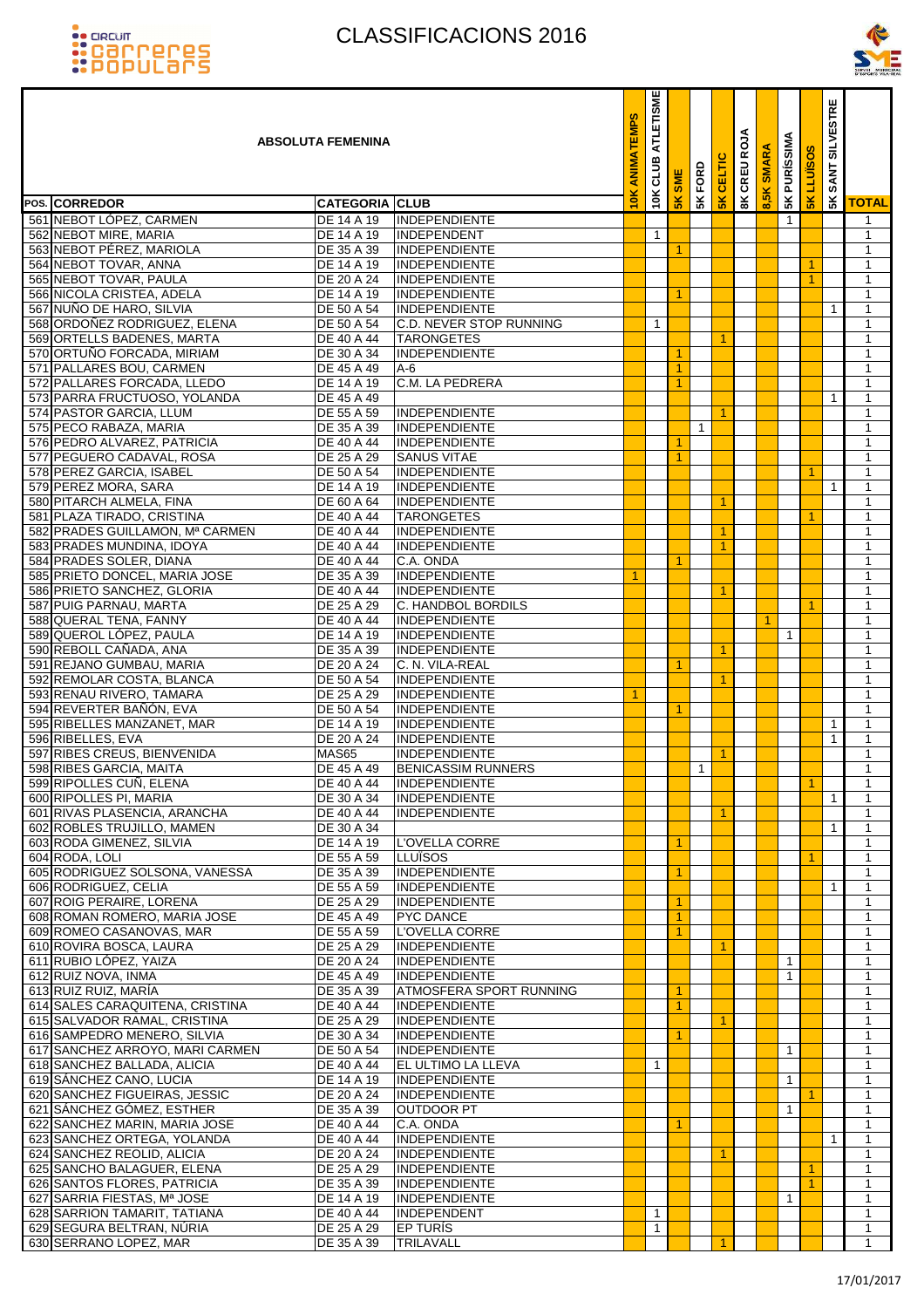



| <b>ABSOLUTA FEMENINA</b><br>POS. CORREDOR<br><b>CATEGORIA CLUB</b><br>561 NEBOT LÓPEZ, CARMEN<br>INDEPENDIENTE<br>DE 14 A 19<br>562 NEBOT MIRE, MARIA<br>DE 14 A 19<br>INDEPENDENT |                          |                                                 | <b>TEMPS</b><br><b>ANIMA</b><br>10K | ATLETISME<br><b>CLUB</b><br>10K | 5K SME       | <b>SK FORD</b> | <b>5K CELTIC</b>     | 8K CREU ROJA | 8,5K SMARA   | 5K PURÍSSIMA | <b>SK LLUISOS</b> | <b>SILVESTRE</b><br>SANT: |                                |
|------------------------------------------------------------------------------------------------------------------------------------------------------------------------------------|--------------------------|-------------------------------------------------|-------------------------------------|---------------------------------|--------------|----------------|----------------------|--------------|--------------|--------------|-------------------|---------------------------|--------------------------------|
|                                                                                                                                                                                    |                          |                                                 |                                     |                                 |              |                |                      |              |              |              |                   | 5K                        | <b>TOTAL</b>                   |
|                                                                                                                                                                                    |                          |                                                 |                                     | $\mathbf{1}$                    |              |                |                      |              |              | $\mathbf{1}$ |                   |                           | $\mathbf{1}$<br>$\mathbf{1}$   |
| 563 NEBOT PÉREZ, MARIOLA                                                                                                                                                           | DE 35 A 39               | <b>INDEPENDIENTE</b>                            |                                     |                                 | $\mathbf{1}$ |                |                      |              |              |              |                   |                           | $\mathbf{1}$                   |
| 564 NEBOT TOVAR, ANNA                                                                                                                                                              | DE 14 A 19               | INDEPENDIENTE                                   |                                     |                                 |              |                |                      |              |              |              | 1                 |                           | $\mathbf{1}$                   |
| 565 NEBOT TOVAR, PAULA                                                                                                                                                             | DE 20 A 24               | <b>INDEPENDIENTE</b>                            |                                     |                                 |              |                |                      |              |              |              |                   |                           | $\mathbf{1}$                   |
| 566 NICOLA CRISTEA, ADELA                                                                                                                                                          | DE 14 A 19               | <b>INDEPENDIENTE</b>                            |                                     |                                 | 1            |                |                      |              |              |              |                   |                           | 1                              |
| 567 NUÑO DE HARO, SILVIA                                                                                                                                                           | DE 50 A 54               | <b>INDEPENDIENTE</b>                            |                                     |                                 |              |                |                      |              |              |              |                   | 1                         | $\mathbf{1}$                   |
| 568 ORDOÑEZ RODRIGUEZ, ELENA<br>569 ORTELLS BADENES, MARTA                                                                                                                         | DE 50 A 54<br>DE 40 A 44 | C.D. NEVER STOP RUNNING<br><b>TARONGETES</b>    |                                     | $\mathbf{1}$                    |              |                |                      |              |              |              |                   |                           | $\mathbf{1}$<br>$\mathbf{1}$   |
| 570 ORTUÑO FORCADA, MIRIAM                                                                                                                                                         | DE 30 A 34               | INDEPENDIENTE                                   |                                     |                                 | 1            |                | -1                   |              |              |              |                   |                           | $\mathbf{1}$                   |
| 571 PALLARES BOU, CARMEN                                                                                                                                                           | DE 45 A 49               | A-6                                             |                                     |                                 | $\mathbf{1}$ |                |                      |              |              |              |                   |                           | $\mathbf{1}$                   |
| 572 PALLARES FORCADA, LLEDO                                                                                                                                                        | DE 14 A 19               | C.M. LA PEDRERA                                 |                                     |                                 | 1            |                |                      |              |              |              |                   |                           | $\mathbf{1}$                   |
| 573 PARRA FRUCTUOSO, YOLANDA                                                                                                                                                       | DE 45 A 49               |                                                 |                                     |                                 |              |                |                      |              |              |              |                   | 1                         | $\mathbf{1}$                   |
| 574 PASTOR GARCIA, LLUM                                                                                                                                                            | DE 55 A 59               | <b>INDEPENDIENTE</b>                            |                                     |                                 |              |                | 1                    |              |              |              |                   |                           | $\mathbf{1}$                   |
| 575 PECO RABAZA, MARIA                                                                                                                                                             | DE 35 A 39               | <b>INDEPENDIENTE</b>                            |                                     |                                 |              | $\overline{1}$ |                      |              |              |              |                   |                           | $\mathbf{1}$                   |
| 576 PEDRO ALVAREZ, PATRICIA<br>577 PEGUERO CADAVAL, ROSA                                                                                                                           | DE 40 A 44<br>DE 25 A 29 | <b>INDEPENDIENTE</b><br><b>SANUS VITAE</b>      |                                     |                                 | 1            |                |                      |              |              |              |                   |                           | $\mathbf{1}$<br>$\mathbf{1}$   |
| 578 PEREZ GARCIA, ISABEL                                                                                                                                                           | DE 50 A 54               | <b>INDEPENDIENTE</b>                            |                                     |                                 |              |                |                      |              |              |              | 1                 |                           | $\mathbf{1}$                   |
| 579 PEREZ MORA, SARA                                                                                                                                                               | DE 14 A 19               | <b>INDEPENDIENTE</b>                            |                                     |                                 |              |                |                      |              |              |              |                   | 1                         | $\mathbf{1}$                   |
| 580 PITARCH ALMELA, FINA                                                                                                                                                           | DE 60 A 64               | INDEPENDIENTE                                   |                                     |                                 |              |                | 1                    |              |              |              |                   |                           | $\mathbf{1}$                   |
| 581 PLAZA TIRADO, CRISTINA                                                                                                                                                         | DE 40 A 44               | <b>TARONGETES</b>                               |                                     |                                 |              |                |                      |              |              |              | 1                 |                           | $\mathbf{1}$                   |
| 582 PRADES GUILLAMON, Mª CARMEN                                                                                                                                                    | DE 40 A 44               | <b>INDEPENDIENTE</b>                            |                                     |                                 |              |                | 1                    |              |              |              |                   |                           | $\mathbf{1}$                   |
| 583 PRADES MUNDINA, IDOYA<br>584 PRADES SOLER, DIANA                                                                                                                               | DE 40 A 44<br>DE 40 A 44 | <b>INDEPENDIENTE</b><br>C.A. ONDA               |                                     |                                 | 1            |                | 1                    |              |              |              |                   |                           | $\mathbf{1}$<br>$\mathbf{1}$   |
| 585 PRIETO DONCEL, MARIA JOSE                                                                                                                                                      | DE 35 A 39               | <b>INDEPENDIENTE</b>                            | 1                                   |                                 |              |                |                      |              |              |              |                   |                           | $\mathbf{1}$                   |
| 586 PRIETO SANCHEZ, GLORIA                                                                                                                                                         | DE 40 A 44               | <b>INDEPENDIENTE</b>                            |                                     |                                 |              |                | 1                    |              |              |              |                   |                           | $\mathbf{1}$                   |
| 587 PUIG PARNAU, MARTA                                                                                                                                                             | DE 25 A 29               | C. HANDBOL BORDILS                              |                                     |                                 |              |                |                      |              |              |              |                   |                           | $\mathbf{1}$                   |
| 588 QUERAL TENA, FANNY                                                                                                                                                             | DE 40 A 44               | <b>INDEPENDIENTE</b>                            |                                     |                                 |              |                |                      |              | $\mathbf{1}$ |              |                   |                           | 1                              |
| 589 QUEROL LÓPEZ, PAULA                                                                                                                                                            | DE 14 A 19               | INDEPENDIENTE                                   |                                     |                                 |              |                |                      |              |              | $\mathbf 1$  |                   |                           | $\mathbf{1}$                   |
| 590 REBOLL CAÑADA, ANA                                                                                                                                                             | DE 35 A 39               | <b>INDEPENDIENTE</b>                            |                                     |                                 |              |                | $\blacktriangleleft$ |              |              |              |                   |                           | $\mathbf{1}$                   |
| 591 REJANO GUMBAU, MARIA<br>592 REMOLAR COSTA, BLANCA                                                                                                                              | DE 20 A 24<br>DE 50 A 54 | C. N. VILA-REAL<br><b>INDEPENDIENTE</b>         |                                     |                                 | 1            |                | -1                   |              |              |              |                   |                           | $\mathbf 1$<br>$\mathbf{1}$    |
| 593 RENAU RIVERO, TAMARA                                                                                                                                                           | DE 25 A 29               | INDEPENDIENTE                                   |                                     |                                 |              |                |                      |              |              |              |                   |                           | 1                              |
| 594 REVERTER BAÑÓN, EVA                                                                                                                                                            | DE 50 A 54               | <b>INDEPENDIENTE</b>                            |                                     |                                 | 1            |                |                      |              |              |              |                   |                           | $\mathbf{1}$                   |
| 595 RIBELLES MANZANET, MAR                                                                                                                                                         | DE 14 A 19               | <b>INDEPENDIENTE</b>                            |                                     |                                 |              |                |                      |              |              |              |                   | 1                         | $\mathbf{1}$                   |
| 596 RIBELLES, EVA                                                                                                                                                                  | <b>DE 20 A 24</b>        | <b>INDEPENDIENTE</b>                            |                                     |                                 |              |                |                      |              |              |              |                   | 1                         | $\mathbf{1}$                   |
| 597 RIBES CREUS, BIENVENIDA                                                                                                                                                        | MAS65                    | <b>INDEPENDIENTE</b>                            |                                     |                                 |              |                | -1                   |              |              |              |                   |                           | $\mathbf{1}$                   |
| 598 RIBES GARCIA, MAITA<br>599 RIPOLLES CUÑ, ELENA                                                                                                                                 | DE 45 A 49<br>DE 40 A 44 | <b>BENICASSIM RUNNERS</b><br>INDEPENDIENTE      |                                     |                                 |              | $\overline{1}$ |                      |              |              |              |                   |                           | $\mathbf{1}$<br>$\overline{1}$ |
| 600 RIPOLLES PI, MARIA                                                                                                                                                             | DE 30 A 34               | INDEPENDIENTE                                   |                                     |                                 |              |                |                      |              |              |              |                   | $\mathbf{1}$              | $\mathbf{1}$                   |
| 601 RIVAS PLASENCIA, ARANCHA                                                                                                                                                       | DE 40 A 44               | <b>INDEPENDIENTE</b>                            |                                     |                                 |              |                | -1                   |              |              |              |                   |                           | $\mathbf{1}$                   |
| 602 ROBLES TRUJILLO, MAMEN                                                                                                                                                         | DE 30 A 34               |                                                 |                                     |                                 |              |                |                      |              |              |              |                   | $\mathbf{1}$              | $\mathbf{1}$                   |
| 603 RODA GIMENEZ, SILVIA                                                                                                                                                           | DE 14 A 19               | L'OVELLA CORRE                                  |                                     |                                 | 1            |                |                      |              |              |              |                   |                           | $\mathbf{1}$                   |
| 604 RODA, LOLI                                                                                                                                                                     | DE 55 A 59               | <b>LLUISOS</b>                                  |                                     |                                 |              |                |                      |              |              |              |                   |                           | $\mathbf{1}$                   |
| 605 RODRIGUEZ SOLSONA, VANESSA                                                                                                                                                     | DE 35 A 39               | <b>INDEPENDIENTE</b>                            |                                     |                                 | 1            |                |                      |              |              |              |                   |                           | $\mathbf{1}$                   |
| 606 RODRIGUEZ, CELIA<br>607 ROIG PERAIRE, LORENA                                                                                                                                   | DE 55 A 59<br>DE 25 A 29 | INDEPENDIENTE<br><b>INDEPENDIENTE</b>           |                                     |                                 | $\mathbf{1}$ |                |                      |              |              |              |                   | 1                         | $\mathbf{1}$<br>$\mathbf{1}$   |
| 608 ROMAN ROMERO, MARIA JOSE                                                                                                                                                       | DE 45 A 49               | <b>PYC DANCE</b>                                |                                     |                                 | 1            |                |                      |              |              |              |                   |                           | $\mathbf{1}$                   |
| 609 ROMEO CASANOVAS, MAR                                                                                                                                                           | DE 55 A 59               | L'OVELLA CORRE                                  |                                     |                                 | 1            |                |                      |              |              |              |                   |                           | $\mathbf{1}$                   |
| 610 ROVIRA BOSCA, LAURA                                                                                                                                                            | DE 25 A 29               | INDEPENDIENTE                                   |                                     |                                 |              |                | 1                    |              |              |              |                   |                           | 1                              |
| 611 RUBIO LÓPEZ, YAIZA                                                                                                                                                             | DE 20 A 24               | INDEPENDIENTE                                   |                                     |                                 |              |                |                      |              |              | 1            |                   |                           | $\mathbf{1}$                   |
| 612 RUIZ NOVA, INMA                                                                                                                                                                | DE 45 A 49               | <b>INDEPENDIENTE</b>                            |                                     |                                 |              |                |                      |              |              | $\mathbf{1}$ |                   |                           | $\mathbf{1}$                   |
| 613 RUIZ RUIZ, MARÍA<br>614 SALES CARAQUITENA, CRISTINA                                                                                                                            | DE 35 A 39<br>DE 40 A 44 | ATMOSFERA SPORT RUNNING<br><b>INDEPENDIENTE</b> |                                     |                                 | 1            |                |                      |              |              |              |                   |                           | $\mathbf{1}$<br>$\mathbf{1}$   |
| 615 SALVADOR RAMAL, CRISTINA                                                                                                                                                       | DE 25 A 29               | <b>INDEPENDIENTE</b>                            |                                     |                                 |              |                | 1                    |              |              |              |                   |                           | $\mathbf{1}$                   |
| 616 SAMPEDRO MENERO, SILVIA                                                                                                                                                        | DE 30 A 34               | <b>INDEPENDIENTE</b>                            |                                     |                                 |              |                |                      |              |              |              |                   |                           | $\mathbf{1}$                   |
| 617 SANCHEZ ARROYO, MARI CARMEN                                                                                                                                                    | DE 50 A 54               | <b>INDEPENDIENTE</b>                            |                                     |                                 |              |                |                      |              |              | $\mathbf{1}$ |                   |                           | $\mathbf{1}$                   |
| 618 SANCHEZ BALLADA, ALICIA                                                                                                                                                        | DE 40 A 44               | <b>EL ULTIMO LA LLEVA</b>                       |                                     | $\mathbf{1}$                    |              |                |                      |              |              |              |                   |                           | $\mathbf{1}$                   |
| 619 SANCHEZ CANO, LUCIA                                                                                                                                                            | DE 14 A 19               | <b>INDEPENDIENTE</b>                            |                                     |                                 |              |                |                      |              |              | $\mathbf{1}$ |                   |                           | $\mathbf{1}$                   |
| 620 SANCHEZ FIGUEIRAS, JESSIC<br>621 SÁNCHEZ GÓMEZ, ESTHER                                                                                                                         | DE 20 A 24<br>DE 35 A 39 | <b>INDEPENDIENTE</b><br><b>OUTDOOR PT</b>       |                                     |                                 |              |                |                      |              |              | $\mathbf{1}$ | 1.                |                           | $\mathbf{1}$<br>$\mathbf{1}$   |
| 622 SANCHEZ MARIN, MARIA JOSE                                                                                                                                                      | DE 40 A 44               | C.A. ONDA                                       |                                     |                                 | 1            |                |                      |              |              |              |                   |                           | $\mathbf{1}$                   |
| 623 SANCHEZ ORTEGA, YOLANDA                                                                                                                                                        | DE 40 A 44               | <b>INDEPENDIENTE</b>                            |                                     |                                 |              |                |                      |              |              |              |                   | 1                         | $\mathbf{1}$                   |
| 624 SANCHEZ REOLID, ALICIA                                                                                                                                                         | DE 20 A 24               | <b>INDEPENDIENTE</b>                            |                                     |                                 |              |                | 1                    |              |              |              |                   |                           | $\mathbf{1}$                   |
| 625 SANCHO BALAGUER, ELENA                                                                                                                                                         | DE 25 A 29               | <b>INDEPENDIENTE</b>                            |                                     |                                 |              |                |                      |              |              |              | 1.                |                           | $\mathbf{1}$                   |
| 626 SANTOS FLORES, PATRICIA                                                                                                                                                        | DE 35 A 39               | <b>INDEPENDIENTE</b>                            |                                     |                                 |              |                |                      |              |              |              |                   |                           | $\mathbf{1}$                   |
| 627 SARRIA FIESTAS, Mª JOSE                                                                                                                                                        | DE 14 A 19               | <b>INDEPENDIENTE</b>                            |                                     |                                 |              |                |                      |              |              | 1            |                   |                           | $\mathbf{1}$                   |
| 628 SARRION TAMARIT, TATIANA<br>629 SEGURA BELTRAN, NÜRIA                                                                                                                          | DE 40 A 44<br>DE 25 A 29 | INDEPENDENT<br><b>EP TURIS</b>                  |                                     | $\mathbf{1}$<br>$\mathbf{1}$    |              |                |                      |              |              |              |                   |                           | $\mathbf{1}$<br>$\mathbf{1}$   |
| 630 SERRANO LOPEZ, MAR                                                                                                                                                             | DE 35 A 39               | <b>TRILAVALL</b>                                |                                     |                                 |              |                |                      |              |              |              |                   |                           | $\mathbf{1}$                   |
|                                                                                                                                                                                    |                          |                                                 |                                     |                                 |              |                |                      |              |              |              |                   |                           |                                |